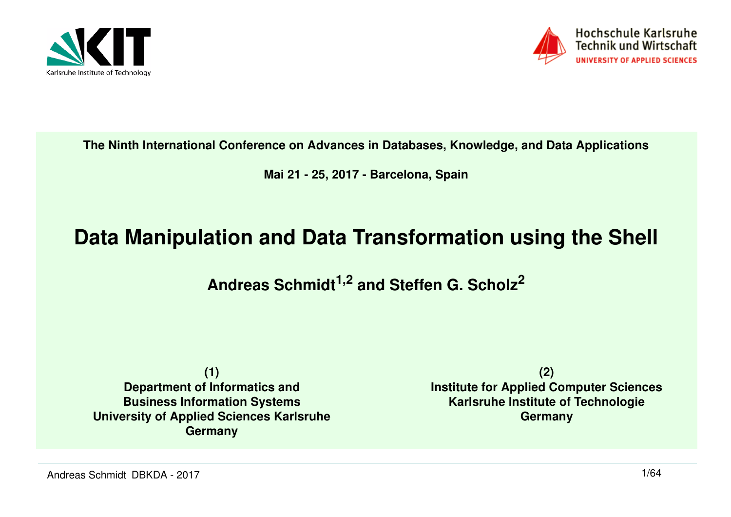



**The Ninth International Conference on Advances in Databases, Knowledge, and Data Applications**

**Mai 21 - 25, 2017 - Barcelona, Spain**

#### **Data Manipulation and Data Transformation using the Shell**

**Andreas Schmidt1,2 and Steffen G. Scholz<sup>2</sup>**

**(1) Department of Informatics and Business Information Systems University of Applied Sciences KarlsruheGermany**

**(2) Institute for Applied Computer SciencesKarlsruhe Institute of TechnologieGermany**

Andreas Schmidt DBKDA - 2017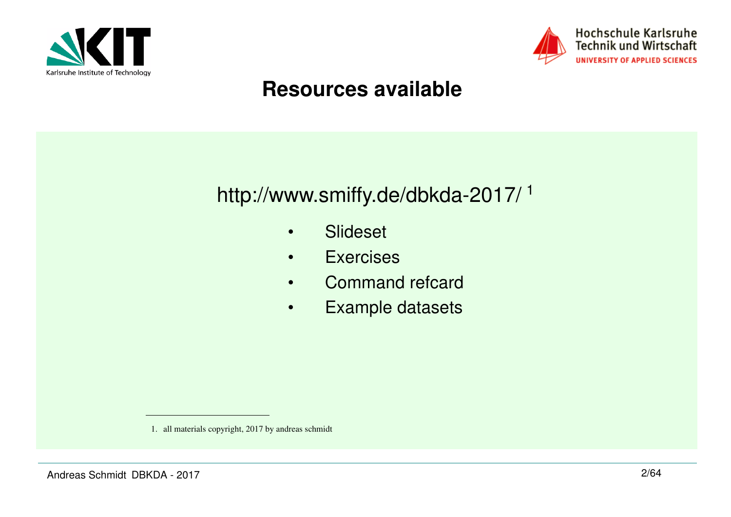



#### **Resources available**

#### http://www.smiffy.de/dbkda-2017/ 1

- •Slideset
- •**Exercises**
- •Command refcard
- •Example datasets

<sup>1.</sup> all materials copyright, 2017 by andreas schmidt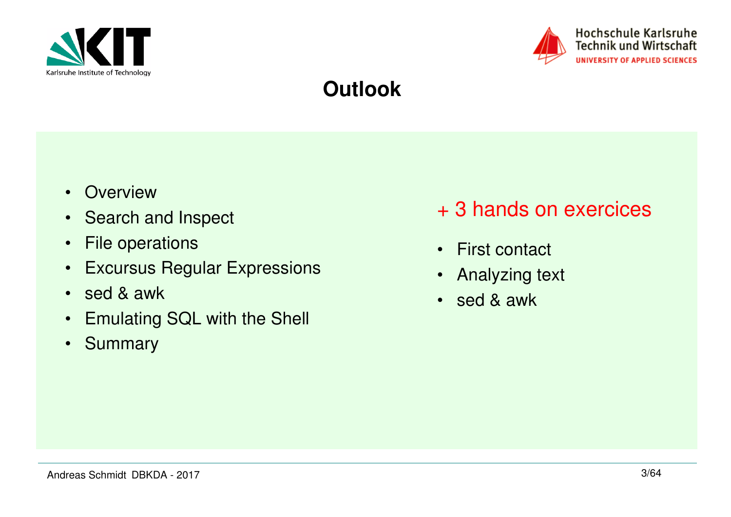



#### **Outlook**

- Overview
- Search and Inspect
- File operations
- Excursus Regular Expressions
- sed & awk
- Emulating SQL with the Shell
- Summary
- + 3 hands on exercices
- First contact
- •Analyzing text
- sed & awk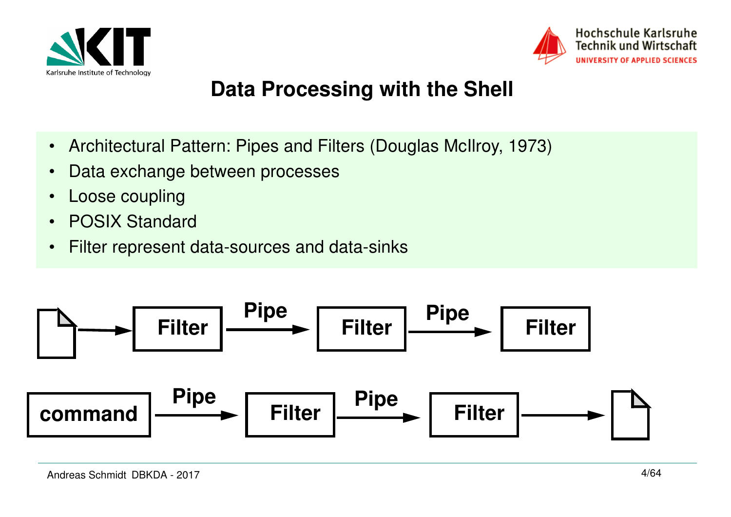



#### **Data Processing with the Shell**

- $\bullet$ Architectural Pattern: Pipes and Filters (Douglas McIlroy, 1973)
- $\bullet$ Data exchange between processes
- •Loose coupling
- •POSIX Standard
- $\bullet$ Filter represent data-sources and data-sinks

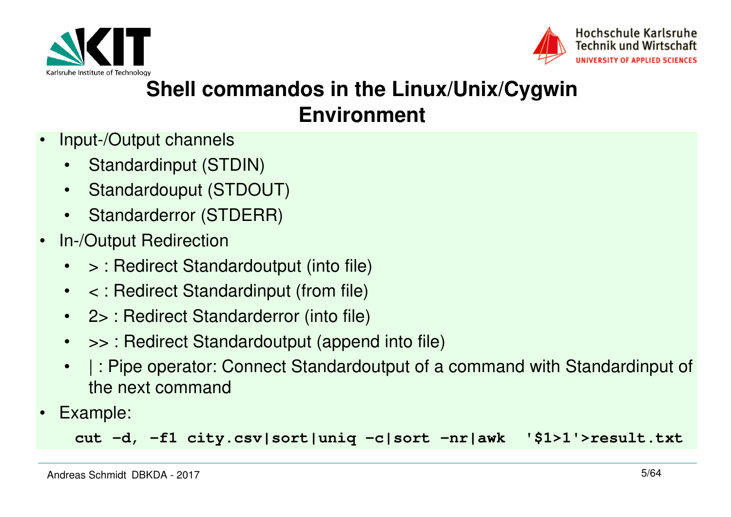



#### **Shell commandos in the Linux/Unix/Cygwin Environment**

- • Input-/Output channels
	- •Standardinput (STDIN)
	- $\bullet$ Standardouput (STDOUT)
	- •Standarderror (STDERR)
- • In-/Output Redirection
	- •> : Redirect Standardoutput (into file)
	- < : Redirect Standardinput (from file)
	- 2> : Redirect Standarderror (into file)
	- •>> : Redirect Standardoutput (append into file)
	- • | : Pipe operator: Connect Standardoutput of a command with Standardinput of the next command
- •Example:

**cut -d, -f1 city.csv|sort|uniq -c|sort -nr|awk '\$1>1'>result.txt**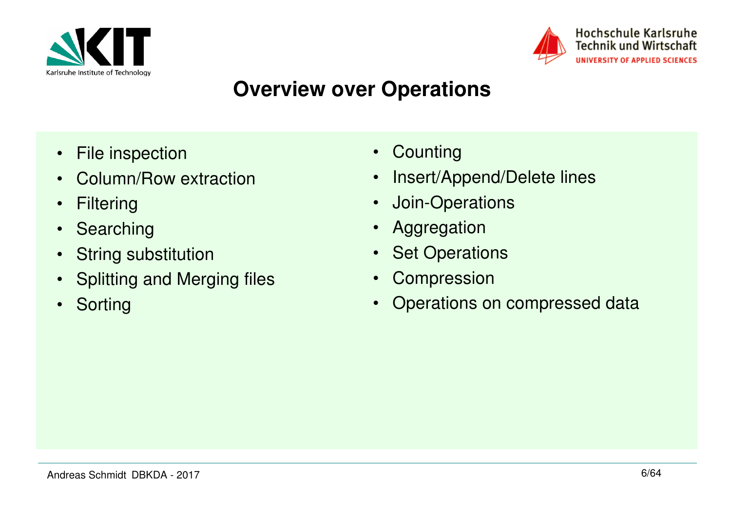



#### **Overview over Operations**

- •File inspection
- Column/Row extraction•
- $\bullet$ **Filtering**
- $\bullet$ Searching
- $\bullet$ String substitution
- $\bullet$ Splitting and Merging files
- $\bullet$ **Sorting**
- Counting
- •Insert/Append/Delete lines
- $\bullet$ Join-Operations
- $\bullet$ Aggregation
- $\bullet$ **Set Operations**
- $\bullet$ **Compression**
- $\bullet$ Operations on compressed data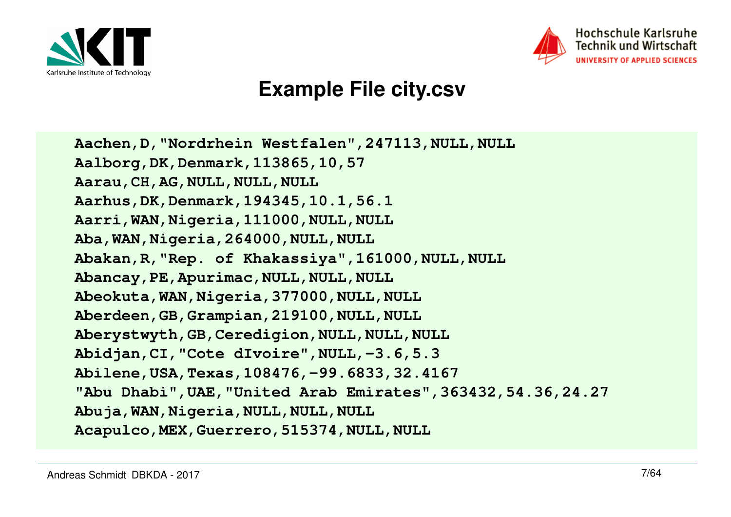



#### **Example File city.csv**

**Aachen,D,"Nordrhein Westfalen",247113,NULL,NULLAalborg,DK,Denmark,113865,10,57Aarau,CH,AG,NULL,NULL,NULL Aarhus,DK,Denmark,194345,10.1,56.1 Aarri,WAN,Nigeria,111000,NULL,NULLAba,WAN,Nigeria,264000,NULL,NULL Abakan,R,"Rep. of Khakassiya",161000,NULL,NULLAbancay,PE,Apurimac,NULL,NULL,NULL Abeokuta,WAN,Nigeria,377000,NULL,NULL Aberdeen,GB,Grampian,219100,NULL,NULL Aberystwyth,GB,Ceredigion,NULL,NULL,NULL Abidjan,CI,"Cote dIvoire",NULL,-3.6,5.3 Abilene,USA,Texas,108476,-99.6833,32.4167 "Abu Dhabi",UAE,"United Arab Emirates",363432,54.36,24.27Abuja,WAN,Nigeria,NULL,NULL,NULLAcapulco,MEX,Guerrero,515374,NULL,NULL**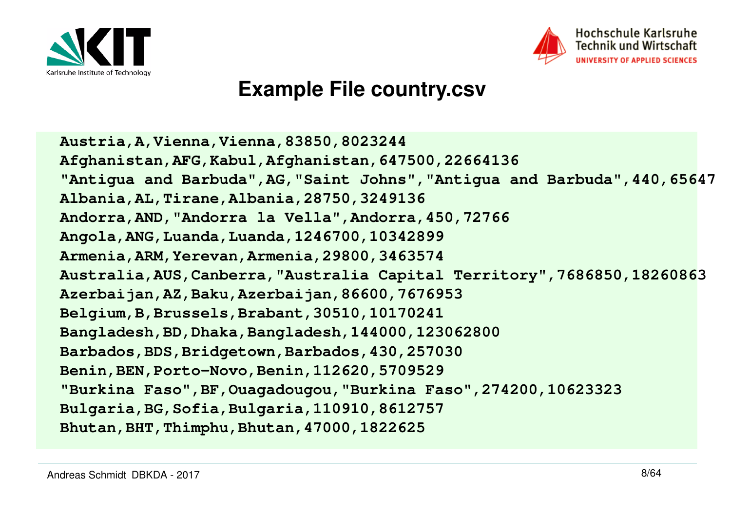



#### **Example File country.csv**

**Austria,A,Vienna,Vienna,83850,8023244 Afghanistan,AFG,Kabul,Afghanistan,647500,22664136 "Antigua and Barbuda",AG,"Saint Johns","Antigua and Barbuda",440,65647Albania,AL,Tirane,Albania,28750,3249136 Andorra,AND,"Andorra la Vella",Andorra,450,72766Angola,ANG,Luanda,Luanda,1246700,10342899 Armenia,ARM,Yerevan,Armenia,29800,3463574 Australia,AUS,Canberra,"Australia Capital Territory",7686850,18260863Azerbaijan,AZ,Baku,Azerbaijan,86600,7676953Belgium,B,Brussels,Brabant,30510,10170241 Bangladesh,BD,Dhaka,Bangladesh,144000,123062800Barbados,BDS,Bridgetown,Barbados,430,257030Benin,BEN,Porto-Novo,Benin,112620,5709529 "Burkina Faso",BF,Ouagadougou,"Burkina Faso",274200,10623323Bulgaria,BG,Sofia,Bulgaria,110910,8612757Bhutan,BHT,Thimphu,Bhutan,47000,1822625**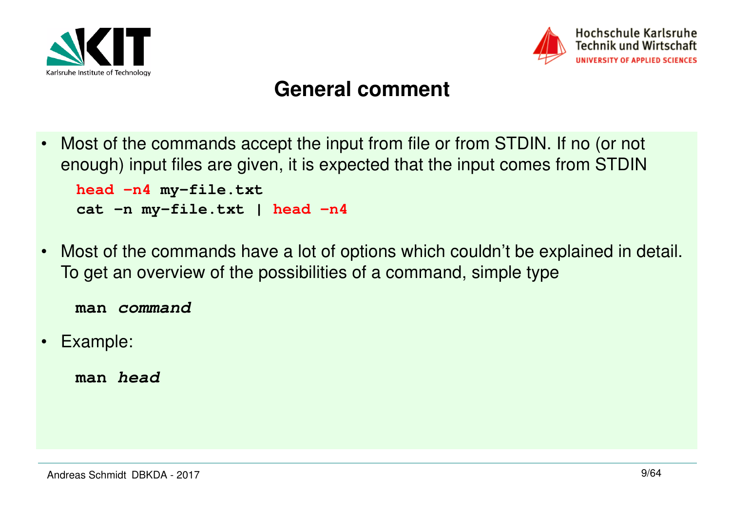



#### **General comment**

- $\bullet$  Most of the commands accept the input from file or from STDIN. If no (or not enough) input files are given, it is expected that the input comes from STDIN**head -n4 my-file.txt cat -n my-file.txt | head -n4**
- $\bullet$  Most of the commands have a lot of options which couldn't be explained in detail. To get an overview of the possibilities of a command, simple type

**man command**

 $\bullet$ Example:

**man head**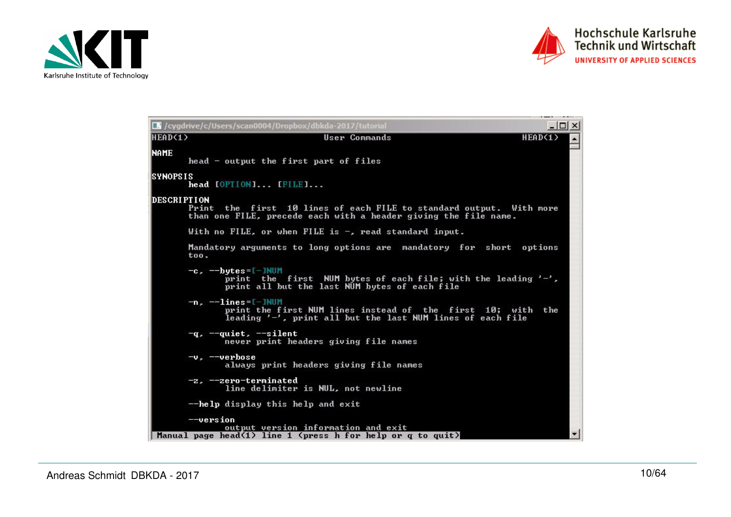



|                     | $ \Box$ $\times$<br>CV / cygdrive/c/Users/scan0004/Dropbox/dbkda-2017/tutorial                                                                              |  |
|---------------------|-------------------------------------------------------------------------------------------------------------------------------------------------------------|--|
| HEAD(1)             | HEAD(1)<br>User Commands                                                                                                                                    |  |
| <b>NAME</b>         | head – output the first part of files                                                                                                                       |  |
| <b>ISYNOPSIS</b>    | head [OPTION] [FILE]                                                                                                                                        |  |
| <b>IDESCRIPTION</b> | Print<br>the first 10 lines of each FILE to standard output. With more<br>than one FILE, precede each with a header giving the file name.                   |  |
|                     | With no FILE, or when FILE is $-$ , read standard input.                                                                                                    |  |
|                     | Mandatory arguments to long options are mandatory for short options<br>too.                                                                                 |  |
|                     | $-c$ , $-$ bytes=[-]NUM<br>print the first NUM bytes of each file; with the leading '-',<br>print all but the last NUM bytes of each file                   |  |
|                     | $-n.$ $-1ines = [-]$ NUM<br>print the first NUM lines instead of the first 10; with<br>the<br>leading $'$ -', print all but the last NUM lines of each file |  |
|                     | $-q$ , $-q$ uiet, $-s$ ilent<br>never print headers giving file names                                                                                       |  |
|                     | $-vr$ --verbose<br>always print headers giving file names                                                                                                   |  |
|                     | $-z$ . $-z$ ero-terminated<br>line delimiter is NUL, not newline                                                                                            |  |
|                     | --help display this help and exit                                                                                                                           |  |
|                     | $-\vee$ ersion<br>output version information and exit<br>Manual page bead(1) line 1 (press h for belp or $\alpha$ to quit)                                  |  |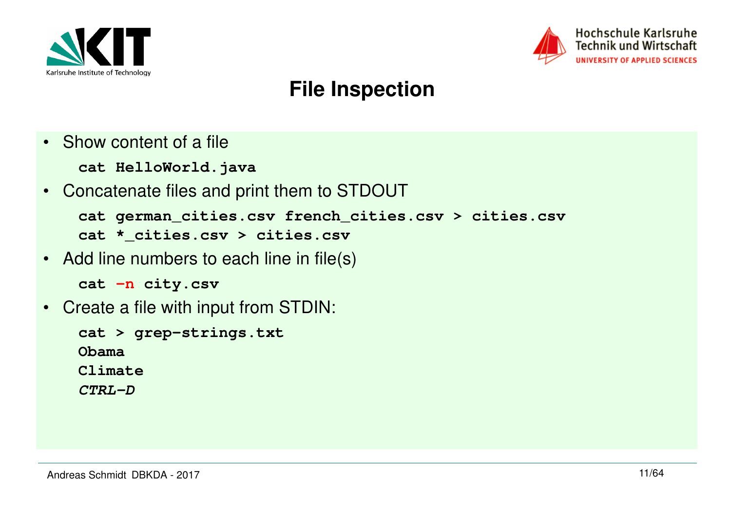



#### **File Inspection**

- Show content of a file
	- **cat HelloWorld.java**
- Concatenate files and print them to STDOUT

```
cat german_cities.csv french_cities.csv > cities.csvcat *_cities.csv > cities.csv
```
• Add line numbers to each line in file(s)

```
cat -n city.csv
```
• Create a file with input from STDIN:

```
cat > grep-strings.txtObama
Climate
```
**CTRL-D**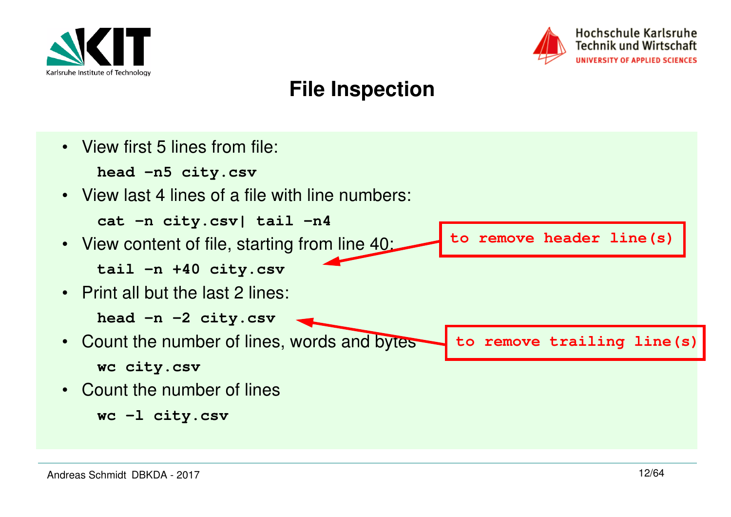



#### **File Inspection**

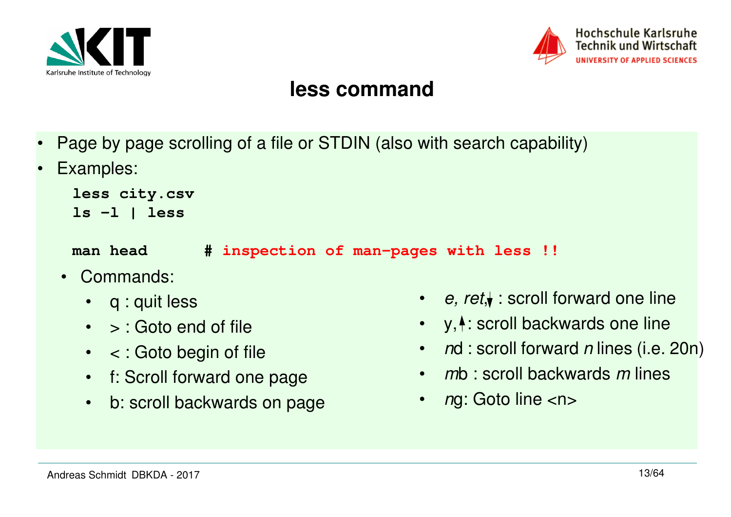



#### **less command**

- •Page by page scrolling of a file or STDIN (also with search capability)
- •Examples:

```
less city.csv
ls -l | less
```
**man head # inspection of man-pages with less !!**

- Commands:
	- q : quit less
	- > : Goto end of file
	- < : Goto begin of file
	- f: Scroll forward one page
	- b: scroll backwards on page
- e, ret, $\blacklozenge$  : scroll forward one line
- $\bullet$  $y, \uparrow$ : scroll backwards one line
- •nd : scroll forward n lines (i.e. 20n)
- mb : scroll backwards m lines
- •ng: Goto line <n>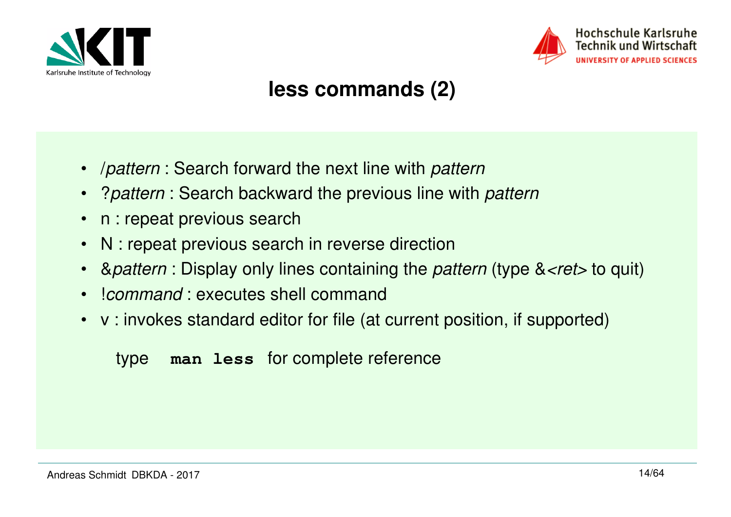



#### **less commands (2)**

- $\bullet$ *I pattern* : Search forward the next line with *pattern*
- •? pattern : Search backward the previous line with pattern
- •n : repeat previous search
- $\bullet$ N : repeat previous search in reverse direction
- •& *Battern* : Display only lines containing the *pattern* (type & *<ret* > to quit)
- •!command : executes shell command
- v : invokes standard editor for file (at current position, if supported)

#### type **man less** for complete reference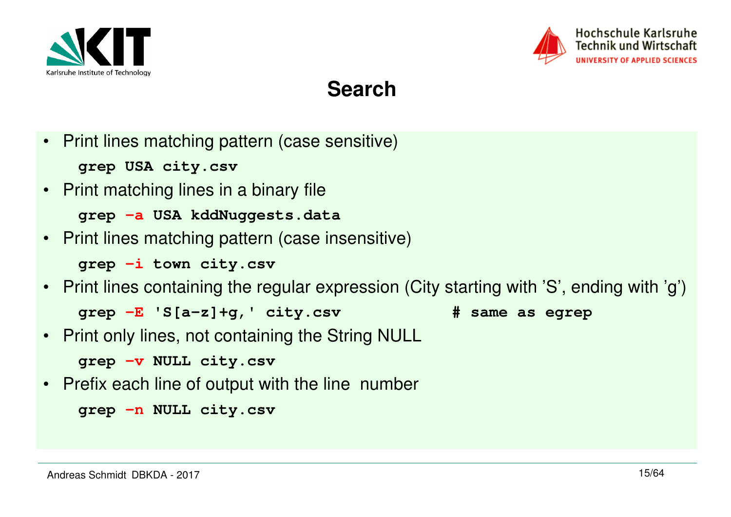



#### **Search**

- • Print lines matching pattern (case sensitive)**grep USA city.csv**
- Print matching lines in a binary file

```
grep -a USA kddNuggests.data
```
• Print lines matching pattern (case insensitive)

**grep -i town city.csv**

• Print lines containing the regular expression (City starting with 'S', ending with 'g')

**grep -E 'S[a-z]+g,' city.csv # same as egrep** 

- 
- •Print only lines, not containing the String NULL

**grep -v NULL city.csv**

• Prefix each line of output with the line number

```
grep -n NULL city.csv
```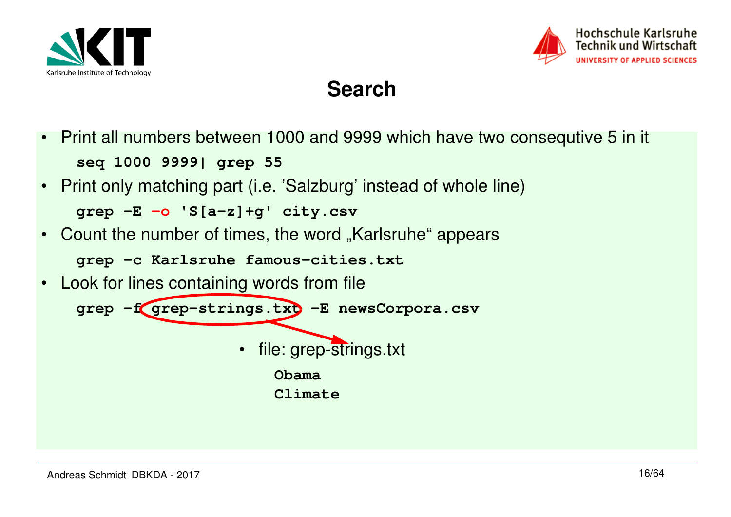



#### **Search**

- $\bullet$  Print all numbers between 1000 and 9999 which have two consequtive 5 in it **seq 1000 9999| grep 55**
- Print only matching part (i.e. 'Salzburg' instead of whole line)**grep -E -o 'S[a-z]+g' city.csv**
- Count the number of times, the word "Karlsruhe" appears

**grep -c Karlsruhe famous-cities.txt**

• Look for lines containing words from file

**grep -f grep-strings.txt -E newsCorpora.csv**

 $\bullet$ file: grep-strings.txt

**Obama**

**Climate**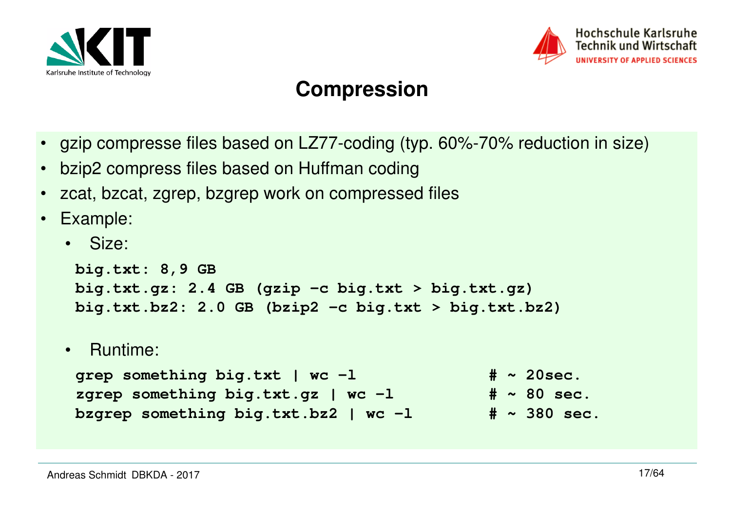



#### **Compression**

- •gzip compresse files based on LZ77-coding (typ. 60%-70% reduction in size)
- •bzip2 compress files based on Huffman coding
- •zcat, bzcat, zgrep, bzgrep work on compressed files
- $\bullet$  Example:
	- Size:

```
big.txt: 8,9 GB
big.txt.gz: 2.4 GB (gzip -c big.txt > big.txt.gz)
big.txt.bz2: 2.0 GB (bzip2 -c big.txt > big.txt.bz2)
```
• Runtime:

```
qrep something big.txt | wc -1 \# ~ 20sec.
                                           # \sim 80 sec.
zgrep something big.txt.gz | wc -1
                                           # \sim 380 \text{ sec.}bzgrep something big.txt.bz2 | wc -1
```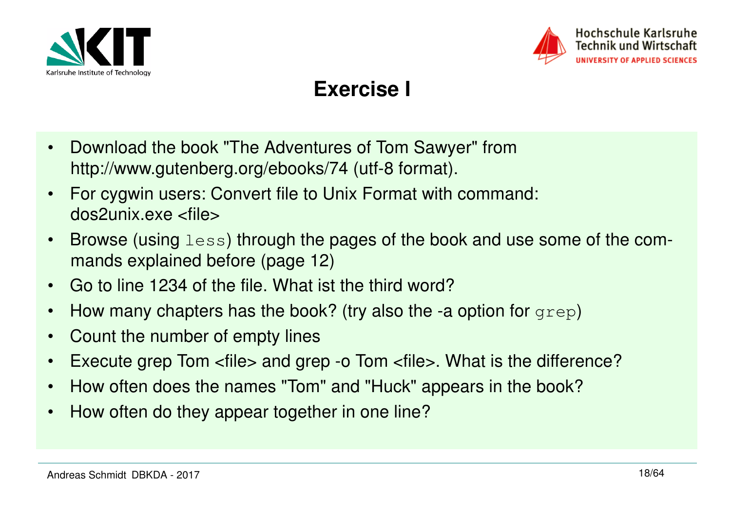



#### **Exercise I**

- • Download the book "The Adventures of Tom Sawyer" fromhttp://www.gutenberg.org/ebooks/74 (utf-8 format).
- • For cygwin users: Convert file to Unix Format with command: dos2unix.exe <file>
- • Browse (using less) through the pages of the book and use some of the commands explained before (page 12)
- •Go to line 1234 of the file. What ist the third word?
- •How many chapters has the book? (try also the -a option for grep)
- $\bullet$ Count the number of empty lines
- •Execute grep Tom <file> and grep -o Tom <file>. What is the difference?
- How often does the names "Tom" and "Huck" appears in the book?
- •How often do they appear together in one line?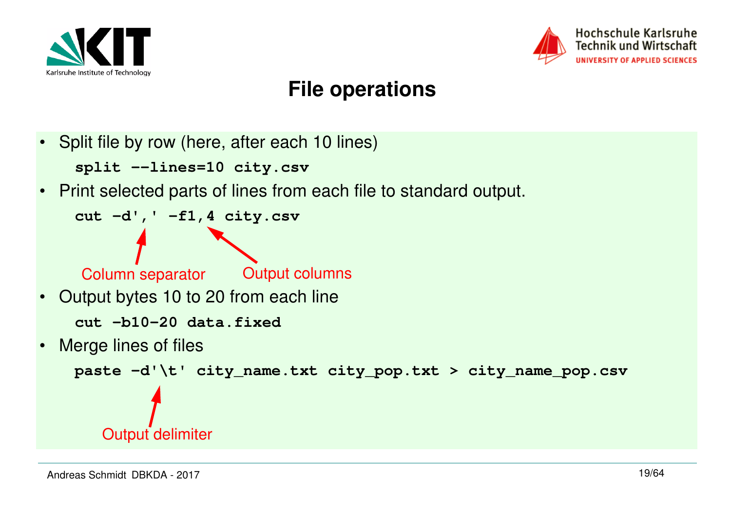



## **File operations**

•Split file by row (here, after each 10 lines)

**split --lines=10 city.csv**

•Print selected parts of lines from each file to standard output.

```
cut -d',' -f1,4 city.csv
```
Column separator

Output columns

- • Output bytes 10 to 20 from each line**cut -b10-20 data.fixed**
- •Merge lines of files

```
paste -d'\t' city_name.txt city_pop.txt > city_name_pop.csv
```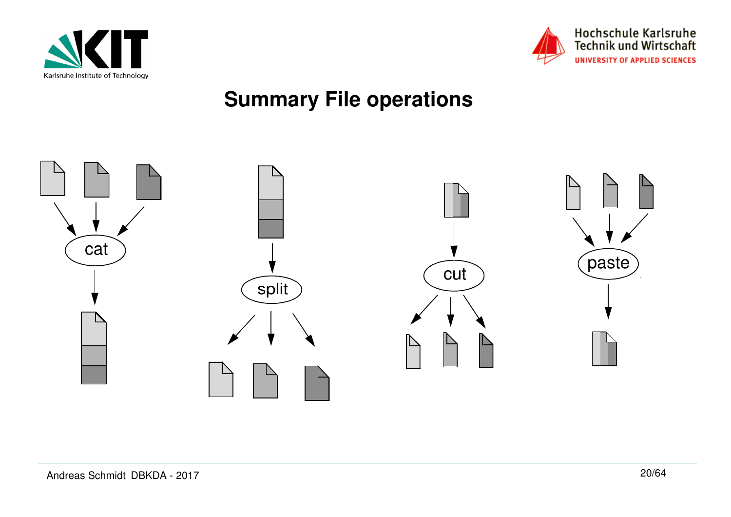



## **Summary File operations**

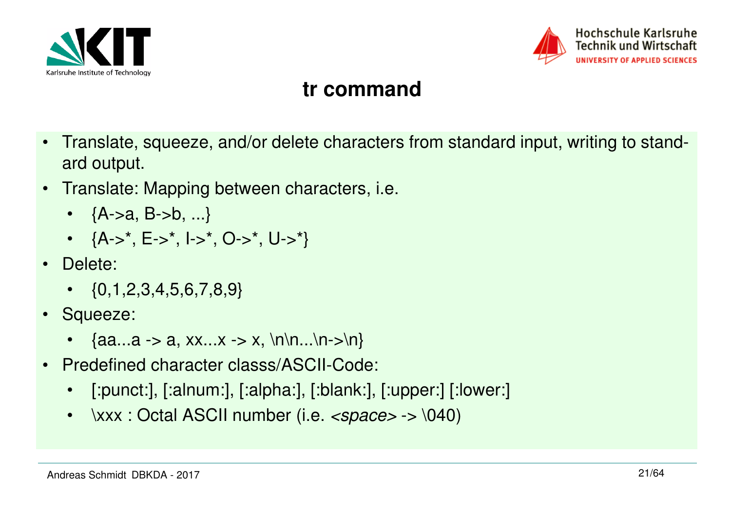



#### **tr command**

- • Translate, squeeze, and/or delete characters from standard input, writing to standard output.
- • Translate: Mapping between characters, i.e.
	- {A->a, B->b, ...}
	- {A->\*, E->\*, I->\*, O->\*, U->\*}
- Delete:
	- $\bullet \quad \{0,1,2,3,4,5,6,7,8,9\}$
- Squeeze:
	- {aa...a -> a, xx...x -> x, \n\n...\n->\n}
- • Predefined character classs/ASCII-Code:
	- •[:punct:], [:alnum:], [:alpha:], [:blank:], [:upper:] [:lower:]
	- \xxx : Octal ASCII number (i.e. *<space>* -> \040)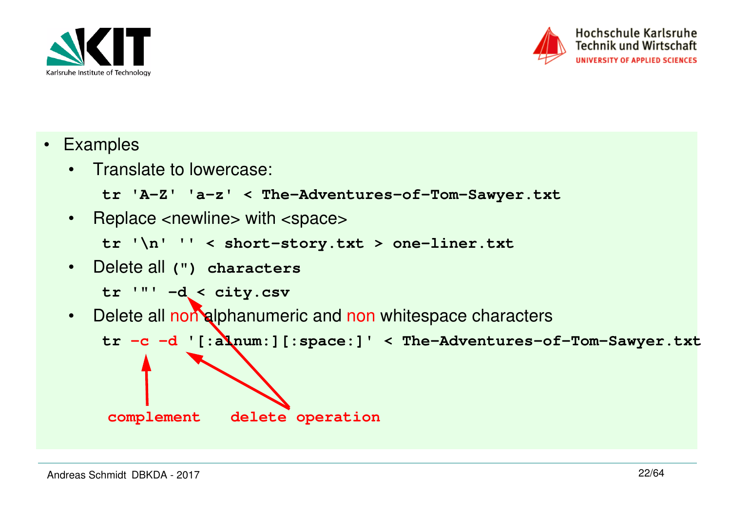



- Examples
	- Translate to lowercase:

```
tr 'A-Z' 'a-z' < The-Adventures-of-Tom-Sawyer.txt
```
• Replace <newline> with <space>

```
tr '\n' '' < short-story.txt > one-liner.txt
```
• Delete all **(") characters**

```
tr '"' -d < city.csv
```
Delete all non alphanumeric and non whitespace characters  $\bullet$ 

```
tr -c -d '[:alnum:][:space:]' < The-Adventures-of-Tom-Sawyer.txt
```
**complement**

**delete operation**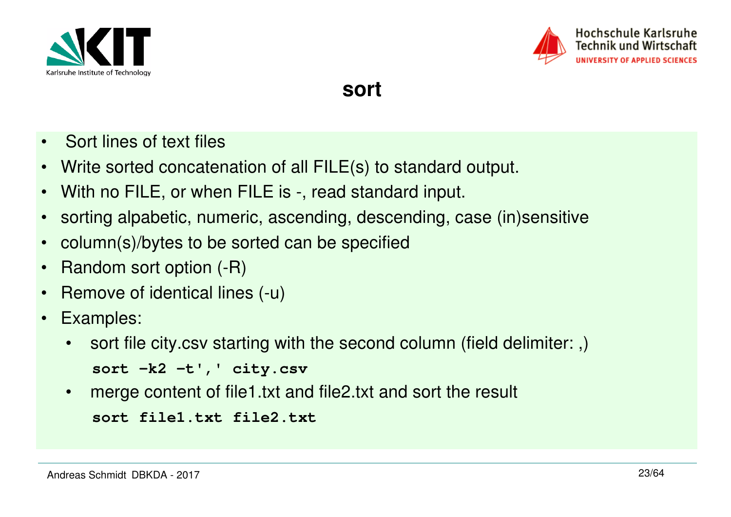



**sort**

- $\bullet$ Sort lines of text files
- Write sorted concatenation of all FILE(s) to standard output.
- With no FILE, or when FILE is -, read standard input.
- •sorting alpabetic, numeric, ascending, descending, case (in)sensitive
- •column(s)/bytes to be sorted can be specified
- •Random sort option (-R)
- •Remove of identical lines (-u)
- $\bullet$  Examples:
	- • sort file city.csv starting with the second column (field delimiter: ,)**sort -k2 -t',' city.csv**
	- $\bullet$ merge content of file1.txt and file2.txt and sort the result

```
sort file1.txt file2.txt
```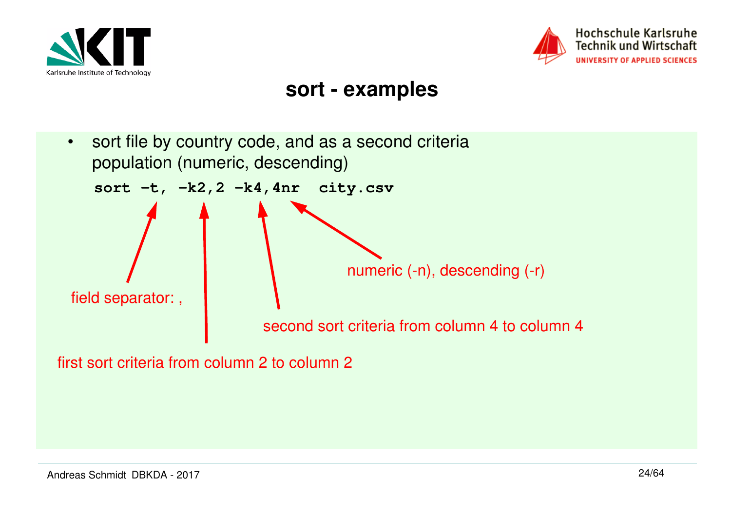



#### **sort - examples**

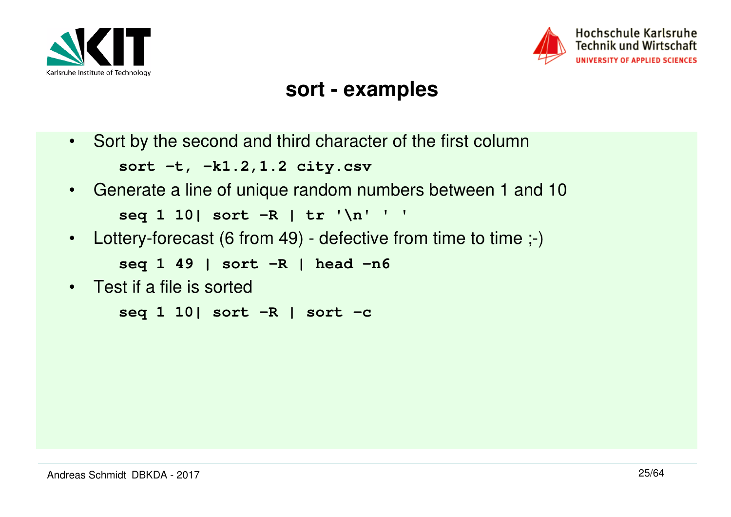



#### **sort - examples**

•Sort by the second and third character of the first column

**sort -t, -k1.2,1.2 city.csv**

- Generate a line of unique random numbers between 1 and 10**seq 1 10| sort -R | tr '\n' ' '**
- Lottery-forecast (6 from 49) defective from time to time ;-)  $\bullet$

```
seq 1 49 | sort -R | head -n6
```
• Test if a file is sorted

**seq 1 10| sort -R | sort -c**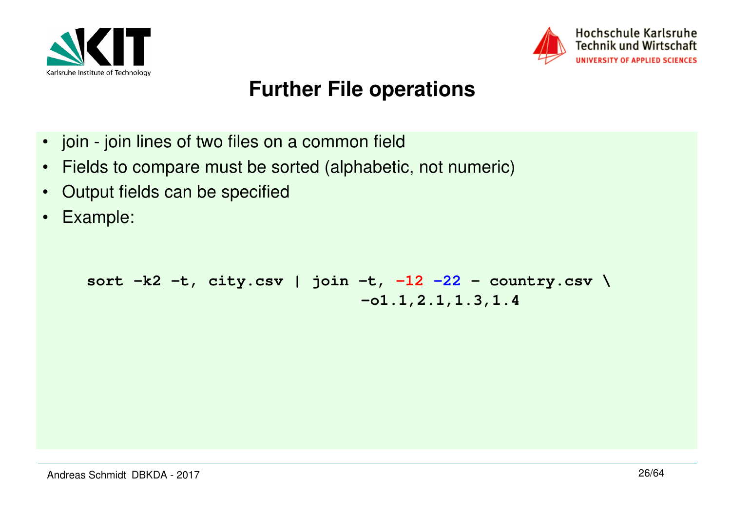



#### **Further File operations**

- join join lines of two files on a common field
- •Fields to compare must be sorted (alphabetic, not numeric)
- •Output fields can be specified
- $\bullet$ Example:

**sort -k2 -t, city.csv | join -t, -12 -22 - country.csv \ -o1.1,2.1,1.3,1.4**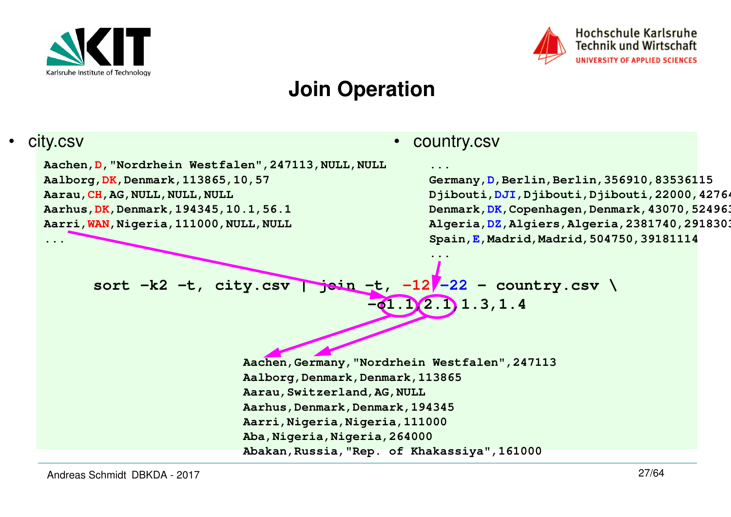

•



#### **Join Operation**

#### **sort -k2 -t, city.csv | join -t, -12 -22 - country.csv \ -o1.1,2.1,1.3,1.4**• country.csv**... Germany,D,Berlin,Berlin,356910,83536115 Djibouti,DJI,Djibouti,Djibouti,22000,427642**Denmark, DK, Copenhagen, Denmark, 43070, 524963 **Algeria,DZ,Algiers,Algeria,2381740,29183032Spain,E,Madrid,Madrid,504750,39181114...Aachen,Germany,"Nordrhein Westfalen",247113Aalborg,Denmark,Denmark,113865Aarau,Switzerland,AG,NULL Aarhus,Denmark,Denmark,194345 Aarri,Nigeria,Nigeria,111000Aba,Nigeria,Nigeria,264000 Abakan,Russia,"Rep. of Khakassiya",161000** city.csvAachen, D, "Nordrhein Westfalen", 247113, NULL, NULL **Aalborg,DK,Denmark,113865,10,57Aarau,CH,AG,NULL,NULL,NULL Aarhus,DK,Denmark,194345,10.1,56.1 Aarri,WAN,Nigeria,111000,NULL,NULL...**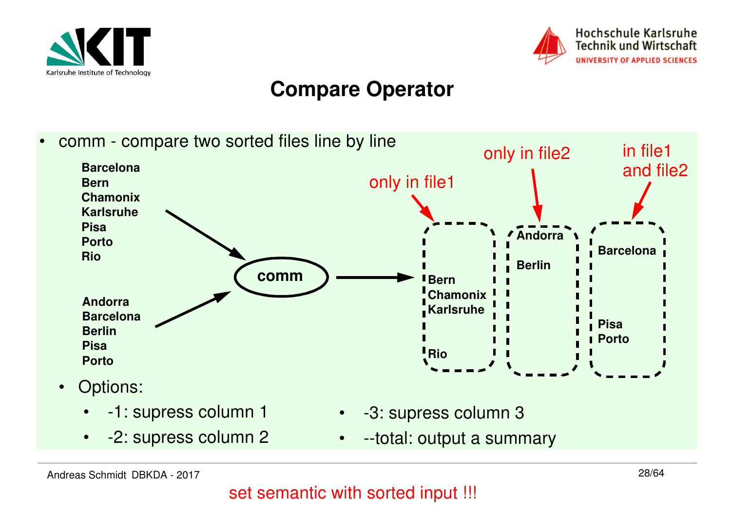



#### **Compare Operator**

• comm - compare two sorted files line by line**BarcelonaBern Chamonix KarlsruhePisa PortoRioAndorra BarcelonaBerlinPisa PortoAndorraBarcelonaBerlinBern Chamonix Karlsruhe Pisa** *Porto* **Riocomm**only in file1only in file2 in file1 and file2 $\bullet$  Options: • -1: supress column 1• -2: supress column 2• -3: supress column 3 $\bullet$ --total: output a summary

Andreas Schmidt DBKDA - 2017

28/64 set semantic with sorted input !!!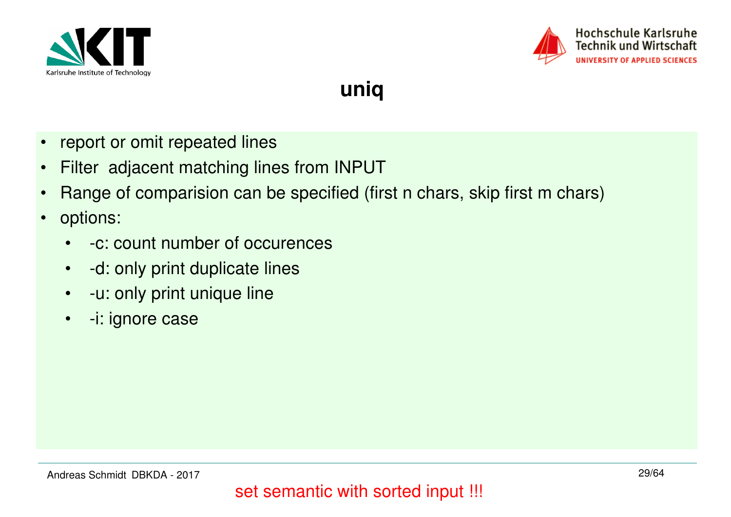



**uniq**

- •report or omit repeated lines
- •Filter adjacent matching lines from INPUT
- •Range of comparision can be specified (first n chars, skip first m chars)
- • options:
	- $\bullet$ -c: count number of occurences
	- •-d: only print duplicate lines
	- -u: only print unique line
	- $\bullet$ -i: ignore case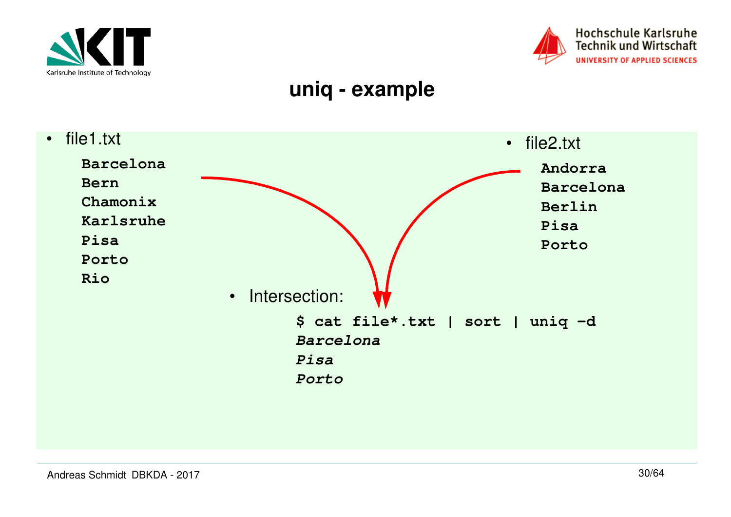



#### **uniq - example**

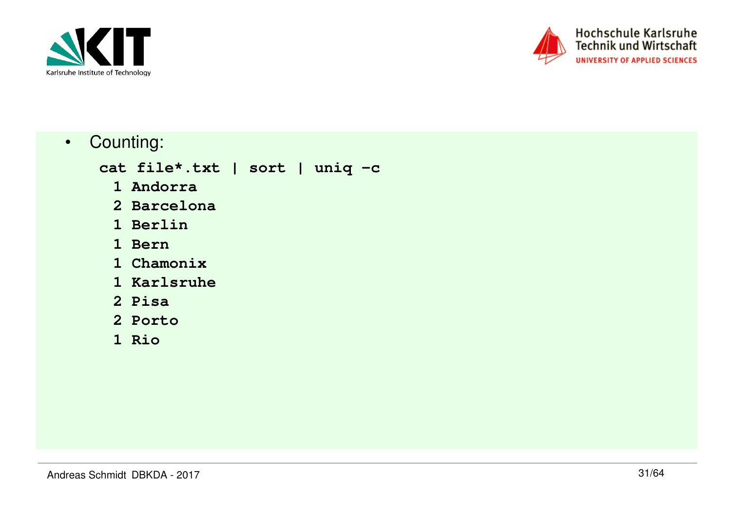



• Counting:

**cat file\*.txt | sort | uniq -c**

- **1 Andorra**
- **2 Barcelona**
	- **1 Berlin**
	- **1 Bern**
- **1 Chamonix**
- **1 Karlsruhe**
	- **2 Pisa**
- **2 Porto**
	- **1 Rio**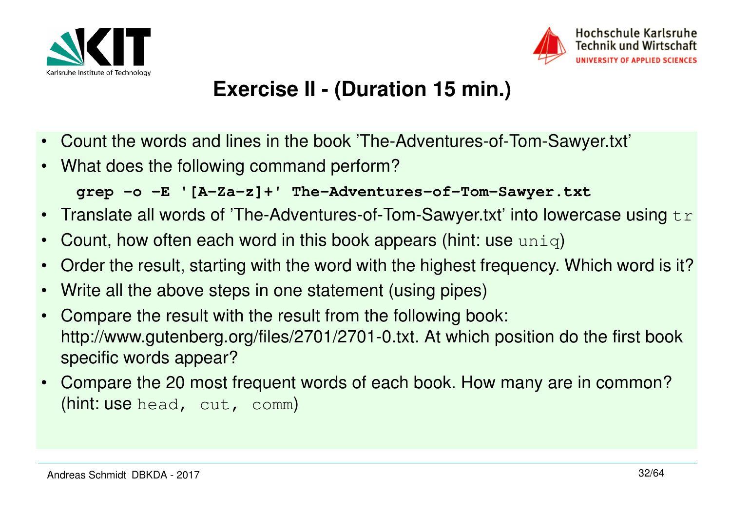



#### **Exercise II - (Duration 15 min.)**

- $\bullet$ Count the words and lines in the book 'The-Adventures-of-Tom-Sawyer.txt'
- What does the following command perform?

**grep -o -E '[A-Za-z]+' The-Adventures-of-Tom-Sawyer.txt**

- $\bullet$ Translate all words of 'The-Adventures-of-Tom-Sawyer.txt' into lowercase using  $tr$
- •Count, how often each word in this book appears (hint: use uniq)
- •Order the result, starting with the word with the highest frequency. Which word is it?
- •Write all the above steps in one statement (using pipes)
- $\bullet$  Compare the result with the result from the following book: http://www.gutenberg.org/files/2701/2701-0.txt. At which position do the first book specific words appear?
- $\bullet$  Compare the 20 most frequent words of each book. How many are in common? (hint: use head, cut, comm)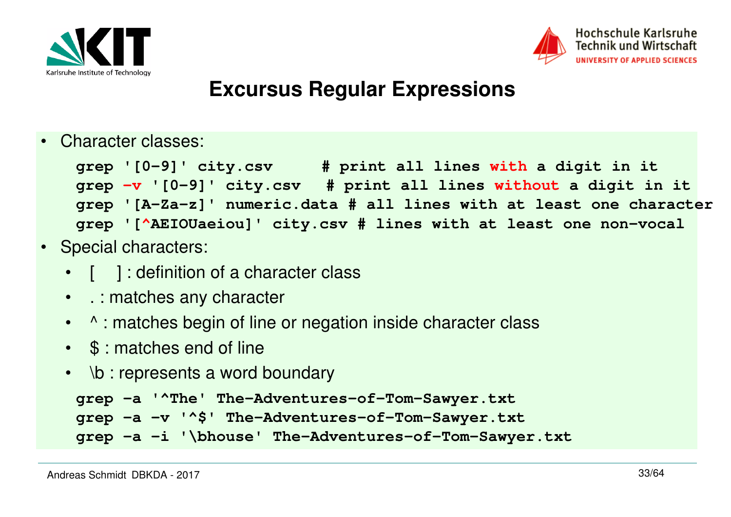



#### **Excursus Regular Expressions**

•Character classes:

```
grep '[0-9]' city.csv # print all lines with a digit in it
grep -v '[0-9]' city.csv # print all lines without a digit in it
grep '[A-Za-z]' numeric.data # all lines with at least one charactergrep '[^AEIOUaeiou]' city.csv # lines with at least one non-vocal
```
- Special characters:
	- [ ] : definition of a character class
	- . : matches any character
	- ^ : matches begin of line or negation inside character class
	- \$ : matches end of line
	- \b : represents a word boundary

```
grep -a '^The' The-Adventures-of-Tom-Sawyer.txt 
grep -a -v '^$' The-Adventures-of-Tom-Sawyer.txt 
grep -a -i '\bhouse' The-Adventures-of-Tom-Sawyer.txt
```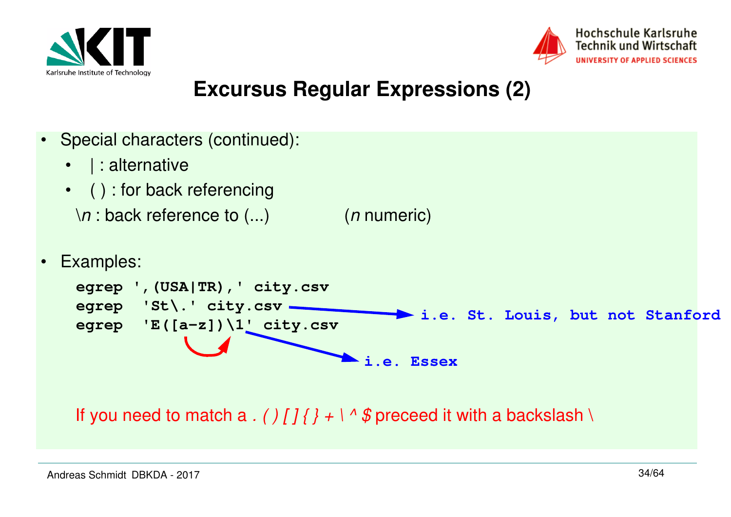



#### **Excursus Regular Expressions (2)**

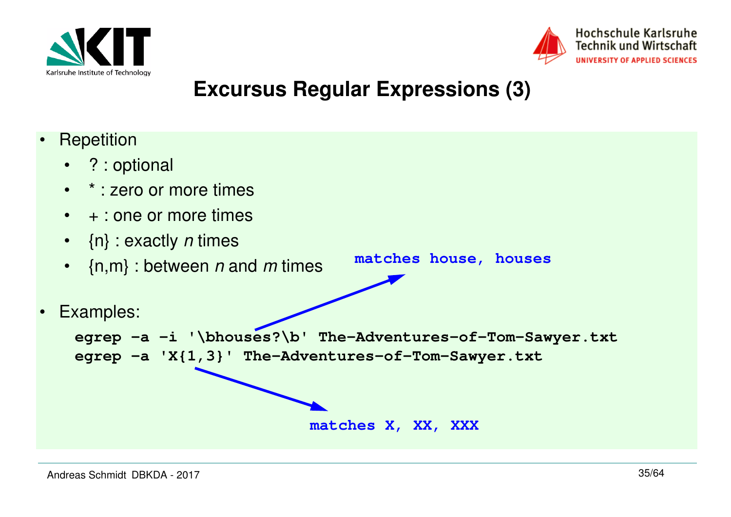



#### **Excursus Regular Expressions (3)**

•**Repetition** • ? : optional •\* : zero or more times • + : one or more times• {n}:exactly *n* times •  $\{$ n,m} : between  $n$  and  $m$  times • Examples: **egrep -a -i '\bhouses?\b' The-Adventures-of-Tom-Sawyer.txtegrep -a 'X{1,3}' The-Adventures-of-Tom-Sawyer.txtmatches house, housesmatches X, XX, XXX**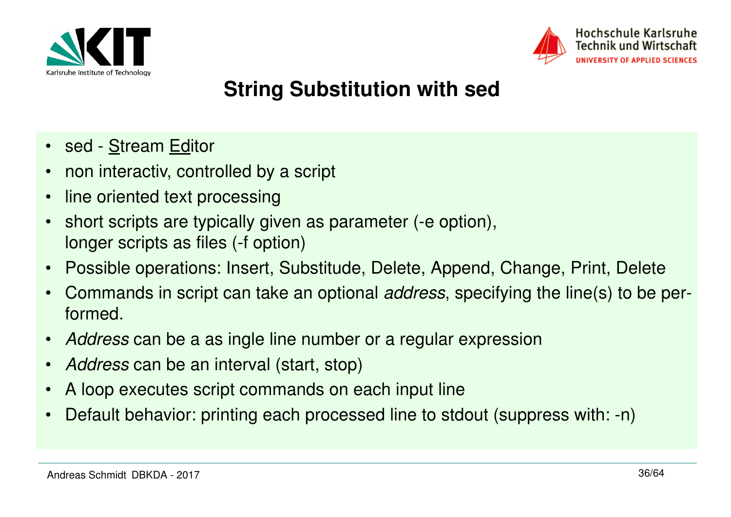



## **String Substitution with sed**

- sed <u>S</u>tream <u>Ed</u>itor
- •non interactiv, controlled by a script
- •line oriented text processing
- • short scripts are typically given as parameter (-e option), longer scripts as files (-f option)
- •Possible operations: Insert, Substitude, Delete, Append, Change, Print, Delete
- •Commands in script can take an optional *address*, specifying the line(s) to be performed.
- •Address can be a as ingle line number or a regular expression
- •Address can be an interval (start, stop)
- •A loop executes script commands on each input line
- •Default behavior: printing each processed line to stdout (suppress with: -n)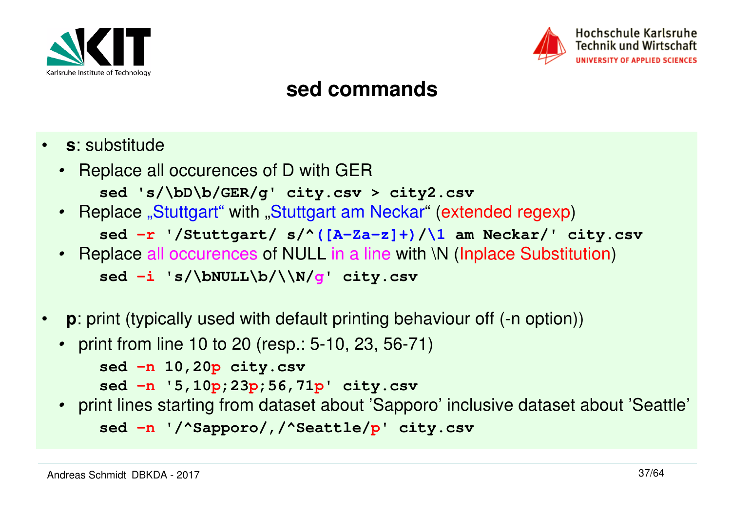



#### **sed commands**

- • **<sup>s</sup>**: substitude
	- Replace all occurences of D with GER**sed 's/\bD\b/GER/g' city.csv > city2.csv**
	- Replace "Stuttgart" with "Stuttgart am Neckar" (extended regexp) **sed -r '/Stuttgart/ s/^([A-Za-z]+)/\1 am Neckar/' city.csv**
	- Replace all occurences of NULL in a line with \N (Inplace Substitution) **sed -i 's/\bNULL\b/\\N/g' city.csv**
- $\bullet$ **p**: print (typically used with default printing behaviour off (-n option))
	- print from line 10 to 20 (resp.: 5-10, 23, 56-71)

```
sed -n 10,20p city.csv
```

```

sed -n '5,10p;23p;56,71p' city.csv
```
 • print lines starting from dataset about 'Sapporo' inclusive dataset about 'Seattle' **sed -n '/^Sapporo/,/^Seattle/p' city.csv**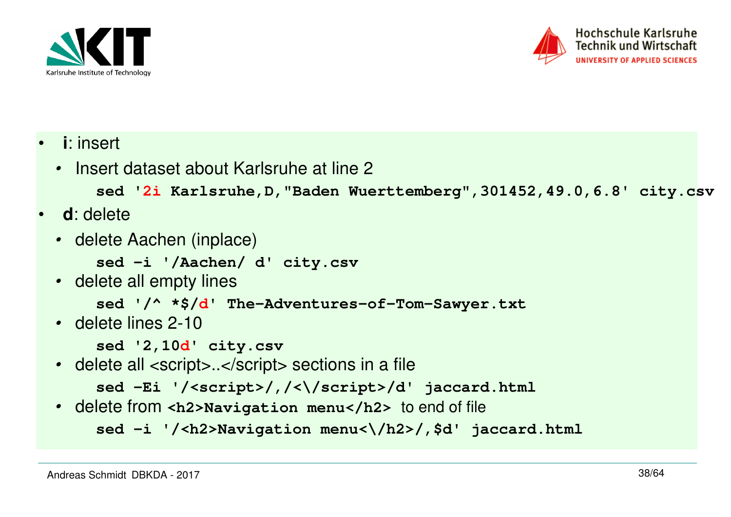



- • **<sup>i</sup>**: insert
	- Insert dataset about Karlsruhe at line 2

```

sed '2i Karlsruhe,D,"Baden Wuerttemberg",301452,49.0,6.8' city.csv
```
- • **<sup>d</sup>**: delete
	- delete Aachen (inplace)

**sed -i '/Aachen/ d' city.csv**

• delete all empty lines

```
sed '/^ *$/d' The-Adventures-of-Tom-Sawyer.txt
```
• delete lines 2-10

**sed '2,10d' city.csv**

• delete all <script>..</script> sections in a file

```

sed -Ei '/<script>/,/<\/script>/d' jaccard.html
```
• delete from **<h2>Navigation menu</h2>** to end of file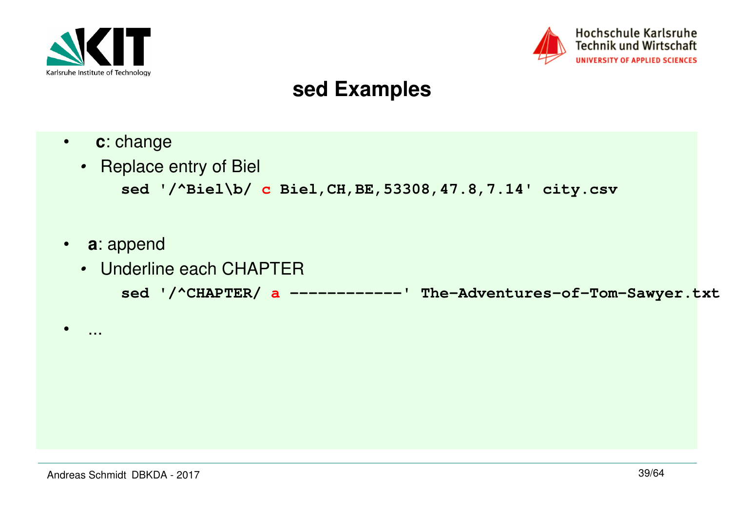



#### **sed Examples**

- $\bullet$ **<sup>c</sup>**: change
- Replace entry of Biel **sed '/^Biel\b/ c Biel,CH,BE,53308,47.8,7.14' city.csv**
- **<sup>a</sup>**: append

•

...

• Underline each CHAPTER**sed '/^CHAPTER/ a ------------' The-Adventures-of-Tom-Sawyer.txt**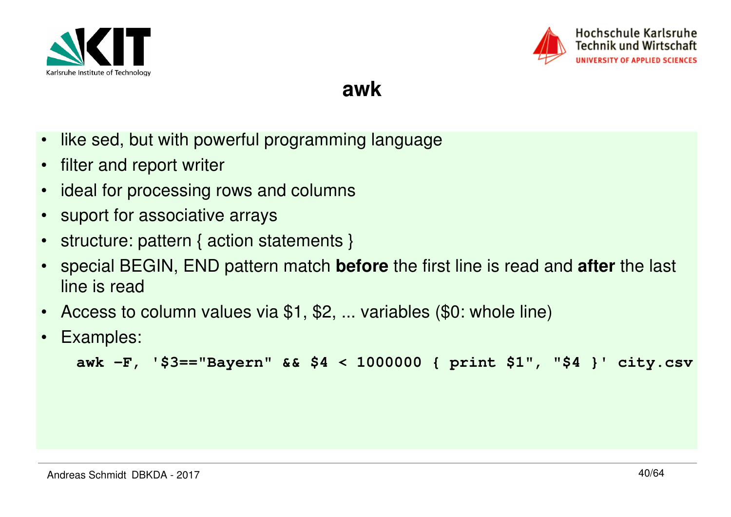



**awk**

- $\bullet$ like sed, but with powerful programming language
- $\bullet$ filter and report writer
- •ideal for processing rows and columns
- •suport for associative arrays
- $\bullet$ structure: pattern { action statements }
- • special BEGIN, END pattern match **before** the first line is read and **after** the last line is read
- $\bullet$ Access to column values via \$1, \$2, ... variables (\$0: whole line)
- $\bullet$ Examples:

```
awk -F, '$3=="Bayern" && $4 < 1000000 { print $1", "$4 }' city.csv
```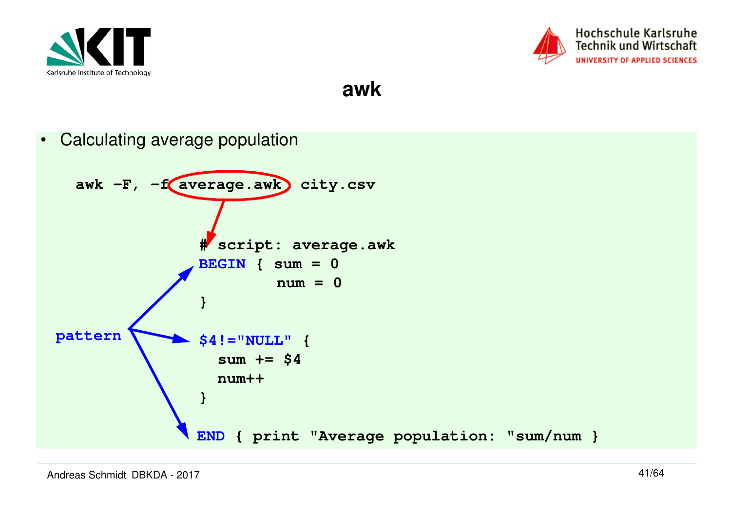



**awk**

• Calculating average populationawk -F, -f average.awk city.csv **# script: average.awkBEGIN { sum = 0 num = 0}\$4!="NULL" { sum += \$4 num++}END { print "Average population: "sum/num }pattern**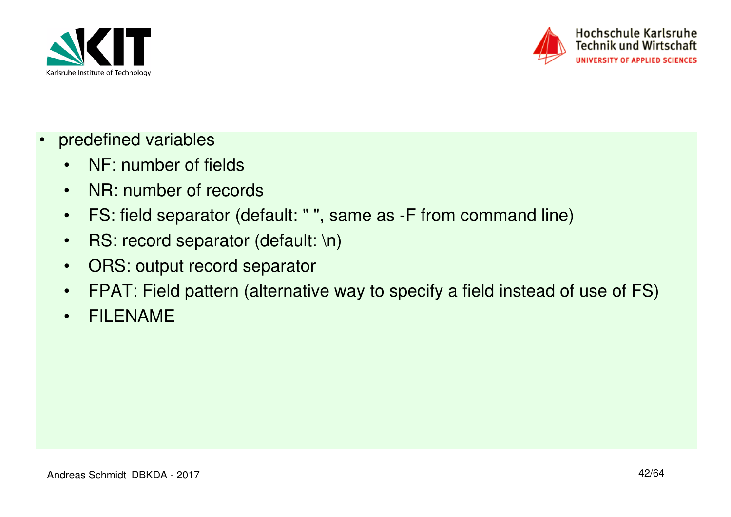



- • predefined variables
	- •NF: number of fields
	- $\bullet$ NR: number of records
	- $\bullet$ FS: field separator (default: " ", same as -F from command line)
	- $\bullet$ RS: record separator (default: \n)
	- $\bullet$ ORS: output record separator
	- •FPAT: Field pattern (alternative way to specify a field instead of use of FS)
	- $\bullet$ FILENAME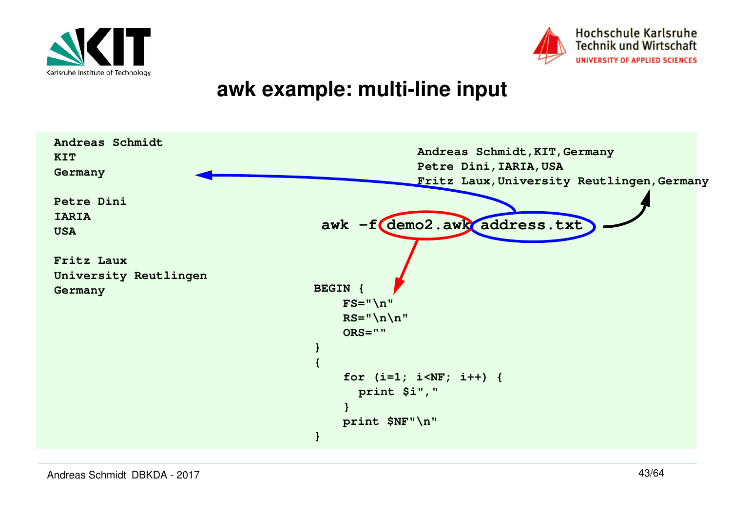



#### **awk example: multi-line input**

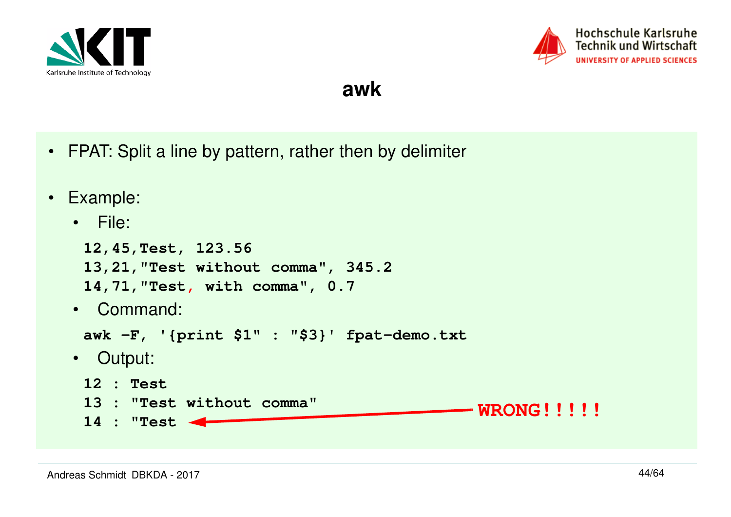



**awk** 

- FPAT: Split a line by pattern, rather then by delimiter
- Example:
	- File:

```
12,45,Test, 123.56
13,21,"Test without comma", 345.214,71,"Test, with comma", 0.7• Command:
 awk -F, '{print $1" : "$3}' fpat-demo.txt• Output:
 12 : Test
13 : "Test without comma"14 : "Test WRONG!!!!!
```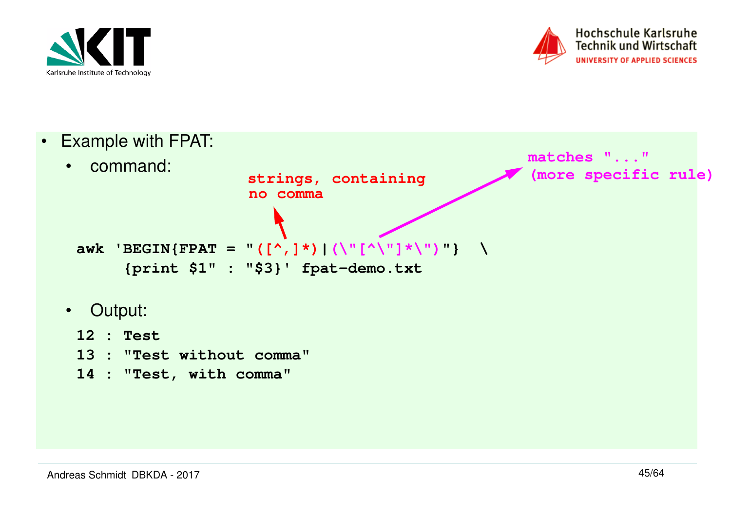



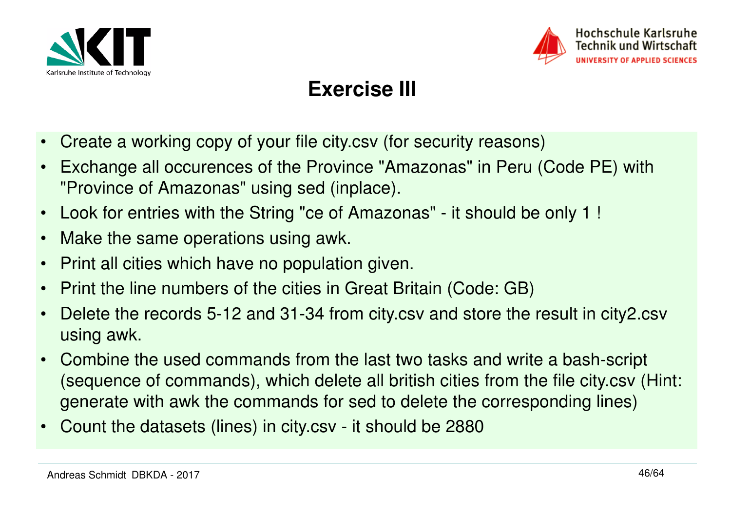



#### **Exercise III**

- •Create a working copy of your file city.csv (for security reasons)
- • Exchange all occurences of the Province "Amazonas" in Peru (Code PE) with "Province of Amazonas" using sed (inplace).
- $\bullet$ Look for entries with the String "ce of Amazonas" - it should be only 1 !
- •Make the same operations using awk.
- •Print all cities which have no population given.
- •Print the line numbers of the cities in Great Britain (Code: GB)
- • Delete the records 5-12 and 31-34 from city.csv and store the result in city2.csv using awk.
- • Combine the used commands from the last two tasks and write a bash-script (sequence of commands), which delete all british cities from the file city.csv (Hint: generate with awk the commands for sed to delete the corresponding lines)
- •Count the datasets (lines) in city.csv - it should be 2880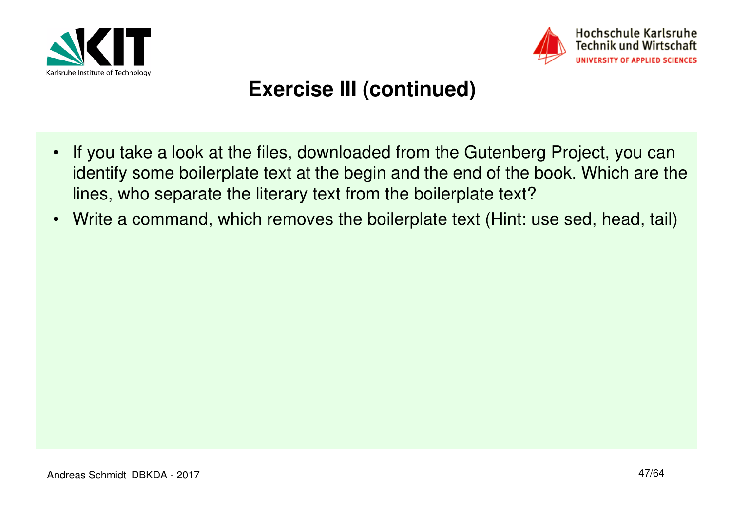



#### **Exercise III (continued)**

- • If you take a look at the files, downloaded from the Gutenberg Project, you can identify some boilerplate text at the begin and the end of the book. Which are the lines, who separate the literary text from the boilerplate text?
- •Write a command, which removes the boilerplate text (Hint: use sed, head, tail)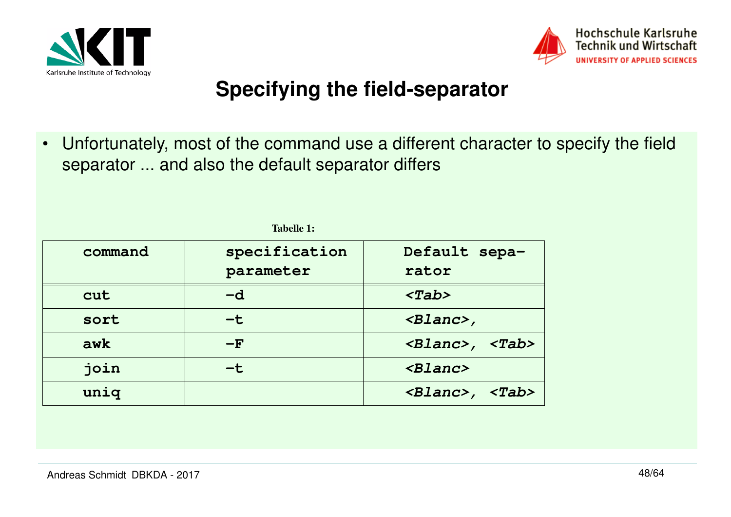



#### **Specifying the field-separator**

• Unfortunately, most of the command use a different character to specify the field separator ... and also the default separator differs

| specification | Default sepa-                                                 |  |  |  |  |
|---------------|---------------------------------------------------------------|--|--|--|--|
| parameter     | rator                                                         |  |  |  |  |
| $-d$          | $<$ Tab>                                                      |  |  |  |  |
| $-\mathbf{t}$ | $\langle$ Blanc>,                                             |  |  |  |  |
| $-F$          | $\langle \text{Blanc} \rangle$ , $\langle \text{Tab} \rangle$ |  |  |  |  |
| -t            | $\langle Blanc \rangle$                                       |  |  |  |  |
|               | $\langle$ Blanc>,<br>$<$ Tab>                                 |  |  |  |  |
|               |                                                               |  |  |  |  |

**Tabelle 1:**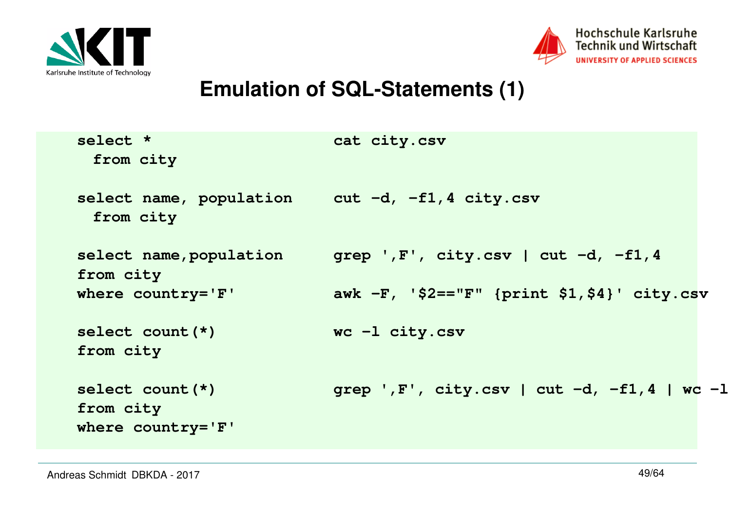



#### **Emulation of SQL-Statements (1)**

| select *<br>from city                                       | cat city.csv                                     |  |
|-------------------------------------------------------------|--------------------------------------------------|--|
| select name, population cut -d, -f1,4 city.csv<br>from city |                                                  |  |
| select name, population<br>from city                        | grep ', $F'$ , city.csv   cut $-d$ , $-f1$ , 4   |  |
| where $country='F'$                                         | awk $-F$ , '\$2=="F" {print \$1,\$4}' city.csv   |  |
| select count $(*)$<br>from city                             | $wc -1$ city.csv                                 |  |
| select count $(*)$<br>from city<br>where $country='F'$      | grep ', $F'$ , city.csv   cut -d, -f1, 4   wc -l |  |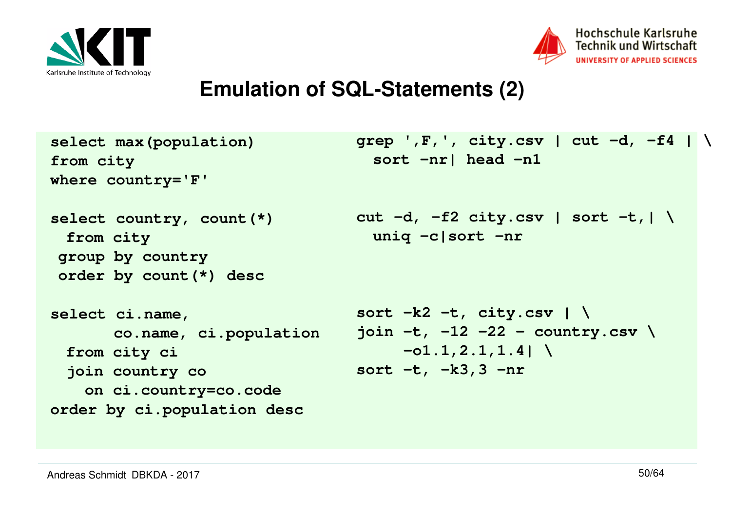



#### **Emulation of SQL-Statements (2)**

```
select max(population)from city
where country='F'select country, count(*)from city
group by country
order by count(*) descselect ci.name, 
co.name, ci.populationfrom city ci
join country co
 on ci.country=co.code
order by ci.population descgrep ',F,', city.csv | cut -d, -f4 | \ sort -nr| head -n1cut -d, -f2 city.csv | sort -t,| \ uniq -c|sort -nrsort -k2 -t, city.csv | \
join -t, -12 -22 - country.csv \-o1.1,2.1,1.4| \sort -t, -k3,3 -nr
```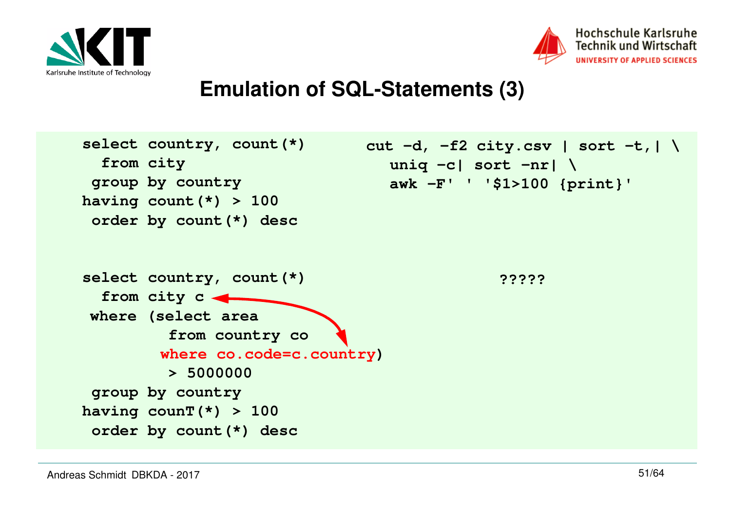



#### **Emulation of SQL-Statements (3)**

```
select country, count(*) from city
 group by country
having count(*) > 100
 order by count(*) descselect country, count(*) from city c
where (select area 
from country co 
where co.code=c.country)> 5000000
 group by country
having counT(*) > 100
 order by count(*) desccut -d, -f2 city.csv | sort -t,| \ uniq -c| sort -nr| \ 
awk -F' ' '$1>100 {print}'?????
```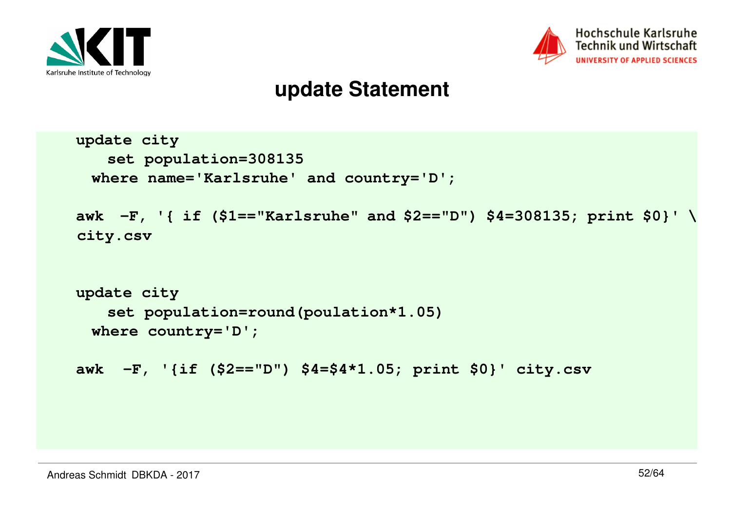



#### **update Statement**

```
update city
set population=308135
where name='Karlsruhe' and country='D';awk -F, '{ if ($1=="Karlsruhe" and $2=="D") $4=308135; print $0}' \ city.csvupdate city
set population=round(poulation*1.05)where country='D';awk -F, '{if ($2=="D") $4=$4*1.05; print $0}' city.csv
```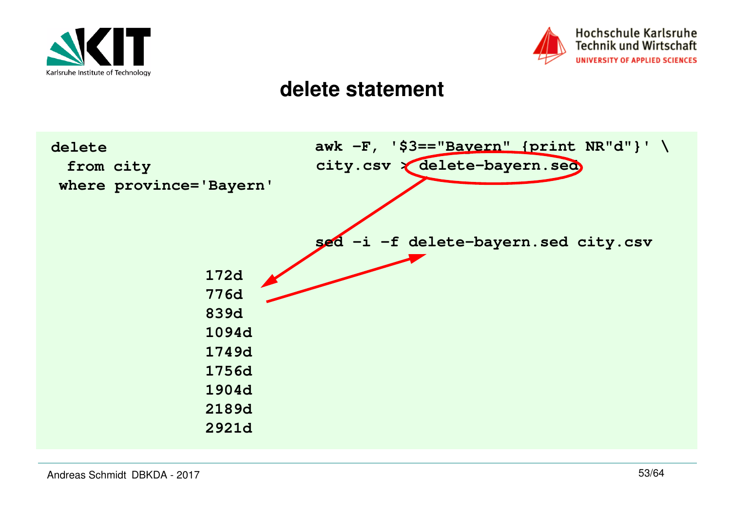



#### **delete statement**

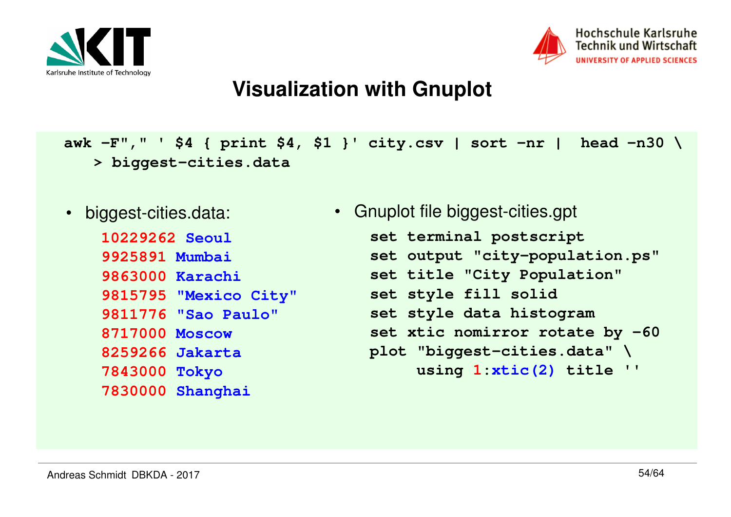



**awk -F"," ' \$4 { print \$4, \$1 }' city.csv | sort -nr | head -n30 \ > biggest-cities.data**

• biggest-cities.data:

**10229262 Seoul 9925891 Mumbai 9863000 Karachi 9815795 "Mexico City" 9811776 "Sao Paulo" 8717000 Moscow 8259266 Jakarta 7843000 Tokyo 7830000 Shanghai**

```
• Gnuplot file biggest-cities.gpt
   set terminal postscript
set output "city-population.ps"set title "City Population"set style fill solid
set style data histogram
set xtic nomirror rotate by -60 plot "biggest-cities.data" \
using 1:xtic(2) title ''
```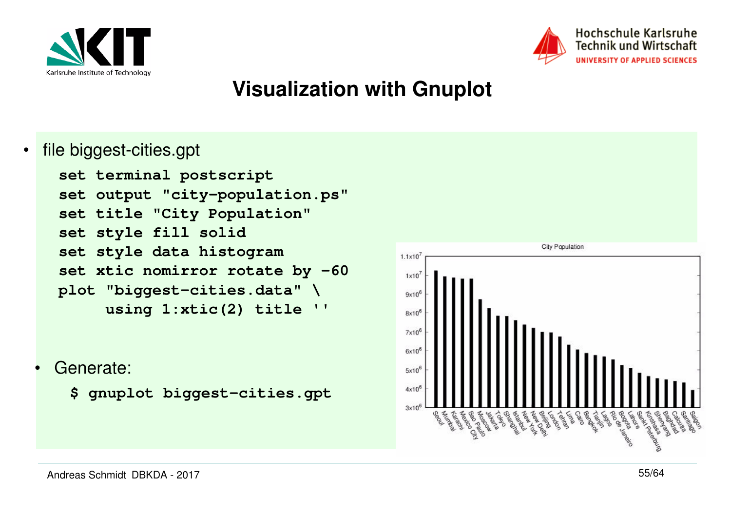



•file biggest-cities.gpt

```
set terminal postscript
set output "city-population.ps"set title "City Population"set style fill solid
set style data histogram
set xtic nomirror rotate by -60 plot "biggest-cities.data" \\mathbf{V}using 1:xtic(2) title
```
- • Generate:
	- **\$ gnuplot biggest-cities.gpt**

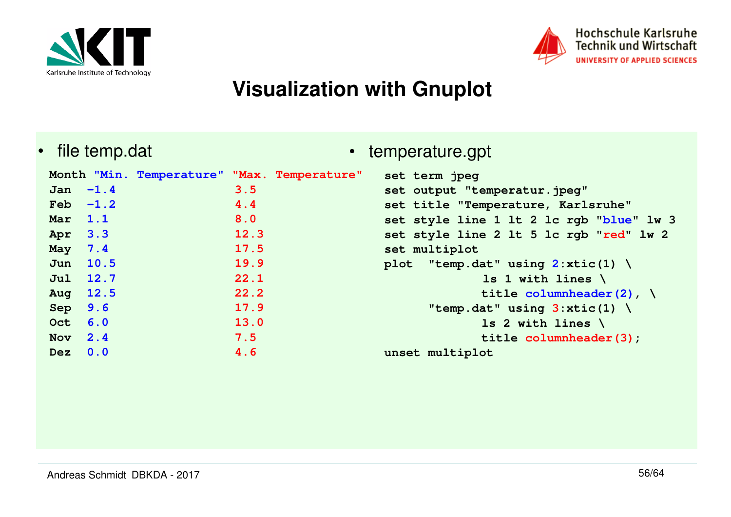



•file temp.dat

**Month "Min. Temperature" "Max. Temperature" Jan -1.4 3.5** $4.4$  $Feh$   $-1.2$  $8.0$ **Mar 1.1 8.0 Apr 3.3 12.3 May 7.4 17.5 Jun 10.5 19.9 Jul 12.7 22.1** $22.2$ **Aug 12.5 22.2 Sep 9.6 17.9 Oct 6.0 13.0** $7.5$ **Nov 2.4 7.5 Dez 0.04.6**

#### • temperature.gpt

```
set term jpeg
set output "temperatur.jpeg"
set title "Temperature, Karlsruhe"
set style line 1 lt 2 lc rgb "blue" lw 3
set style line 2 lt 5 lc rgb "red" lw 2set multiplot
plot "temp.dat" using 2:xtic(1) \ ls 1 with lines \
title columnheader(2), \"temp.dat" using 3:xtic(1) \ \ \ \ls 2 with lines \
title columnheader(3);unset multiplot
```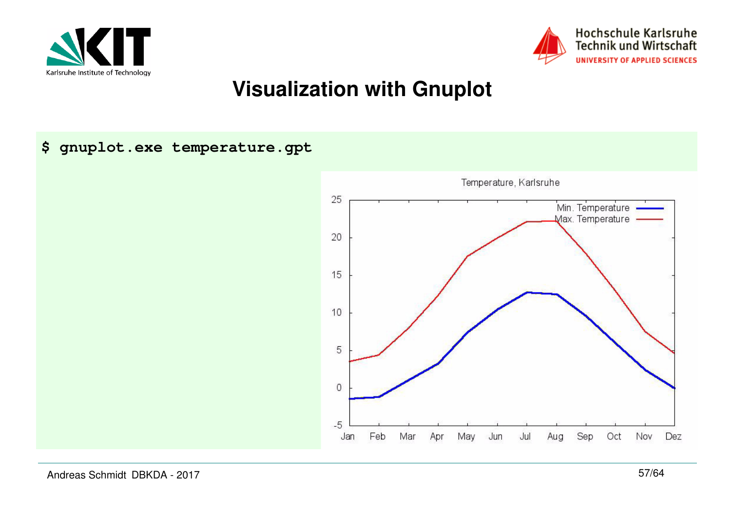



**\$ gnuplot.exe temperature.gpt**



Andreas Schmidt DBKDA - 2017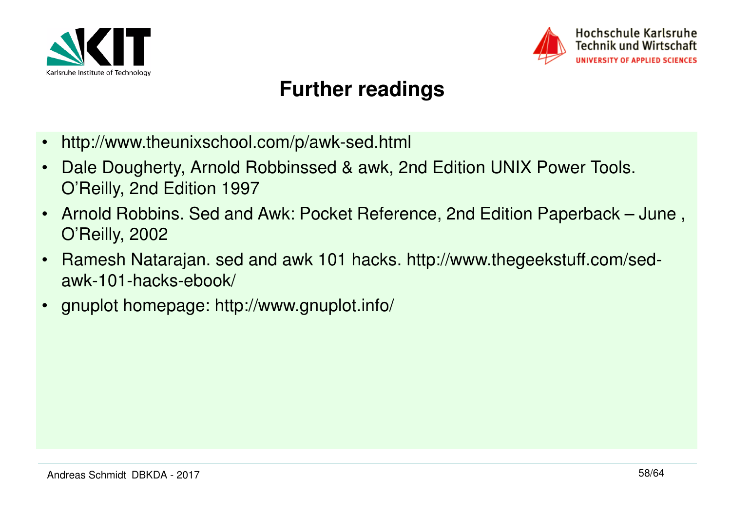



#### **Further readings**

- •http://www.theunixschool.com/p/awk-sed.html
- • Dale Dougherty, Arnold Robbinssed & awk, 2nd Edition UNIX Power Tools. O'Reilly, 2nd Edition 1997
- • Arnold Robbins. Sed and Awk: Pocket Reference, 2nd Edition Paperback – June , O'Reilly, 2002
- • Ramesh Natarajan. sed and awk 101 hacks. http://www.thegeekstuff.com/sedawk-101-hacks-ebook/
- $\bullet$ gnuplot homepage: http://www.gnuplot.info/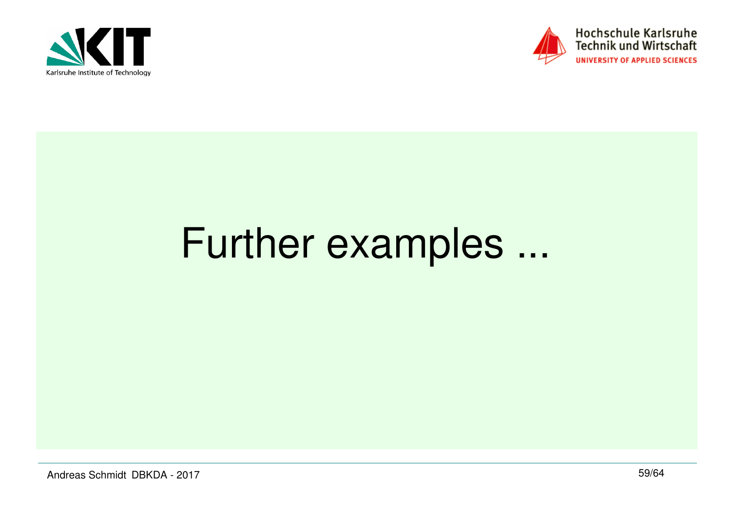



# Further examples ...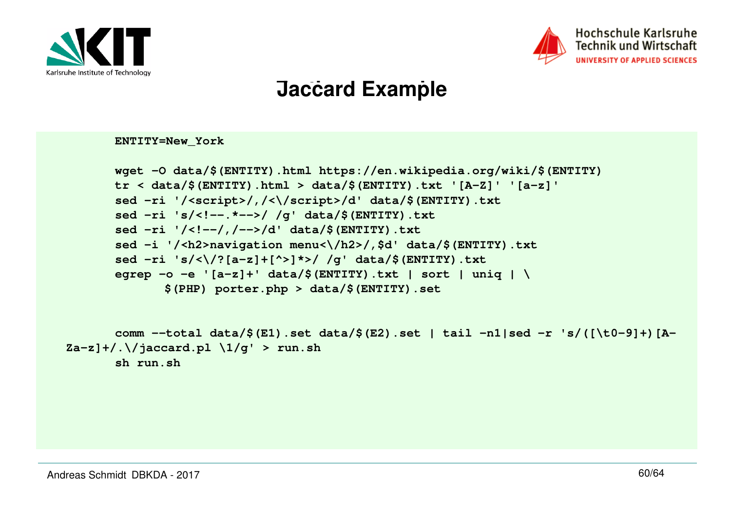



## **Further examples Jaccard Example**

**ENTITY=New\_York**

```
wget -O data/$(ENTITY).html https://en.wikipedia.org/wiki/$(ENTITY)tr < data/$(ENTITY).html > data/$(ENTITY).txt '[A-Z]' '[a-z]'sed -ri '/<script>/,/<\/script>/d' data/$(ENTITY).txtsed -ri 's/<!--.*-->/ /g' data/$(ENTITY).txtsed -ri '/<!--/,/-->/d' data/$(ENTITY).txt 
sed -i '/<h2>navigation menu<\/h2>/,$d' data/$(ENTITY).txtsed -ri 's/<\/?[a-z]+[^>]*>/ /g' data/$(ENTITY).txt
egrep -o -e '[a-z]+' data/$(ENTITY).txt | sort | uniq | \$(PHP) porter.php > data/$(ENTITY).set
```

```
comm --total data/$(E1).set data/$(E2).set | tail -n1|sed -r 's/([\t0-9]+)[A-
Za-z]+/.\/jaccard.pl \1/g' > run.shsh run.sh
```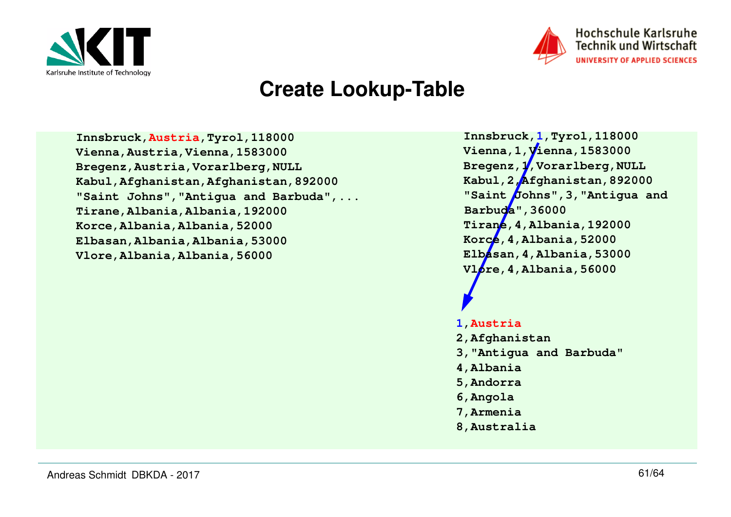



#### **Create Lookup-Table**

**Innsbruck,Austria,Tyrol,118000 Vienna,Austria,Vienna,1583000 Bregenz,Austria,Vorarlberg,NULL Kabul,Afghanistan,Afghanistan,892000 "Saint Johns","Antigua and Barbuda",...Tirane,Albania,Albania,192000Korce,Albania,Albania,52000 Elbasan,Albania,Albania,53000Vlore,Albania,Albania,56000**

**Innsbruck,1,Tyrol,118000 Vienna,1,Vienna,1583000 Bregenz,1,Vorarlberg,NULL Kabul,2,Afghanistan,892000 "Saint Johns",3,"Antigua and Barbuda",36000 Tirane,4,Albania,192000Korce,4,Albania,52000 Elbasan,4,Albania,53000Vlore,4,Albania,56000**

#### **1,Austria**

- **2,Afghanistan**
- **3,"Antigua and Barbuda"**
- **4,Albania**
- **5,Andorra**
- **6,Angola**
- **7,Armenia**
- **8,Australia**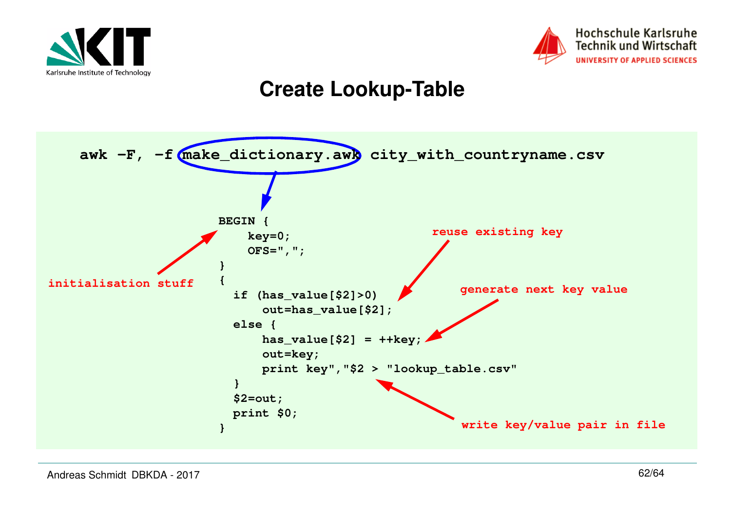



#### **Create Lookup-Table**

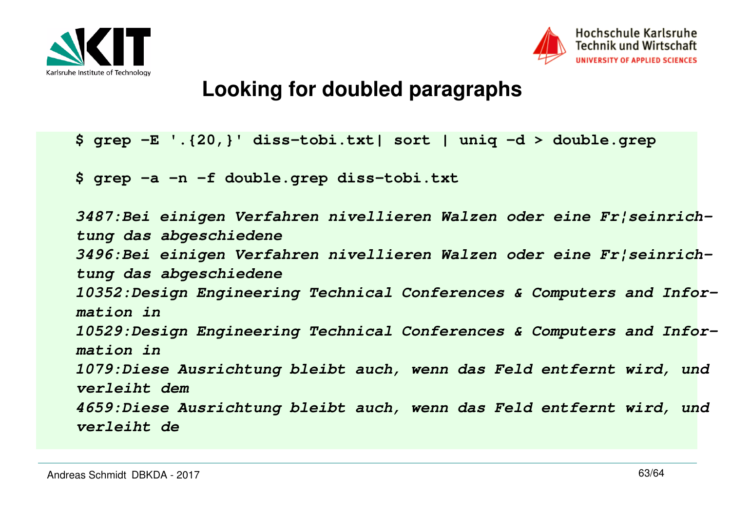



#### **Looking for doubled paragraphs**

```
$ grep -E '.{20,}' diss-tobi.txt| sort | uniq -d > double.grep
```
**\$ grep -a -n -f double.grep diss-tobi.txt**

```
3487:Bei einigen Verfahren nivellieren Walzen oder eine Fr¦seinrich-
tung das abgeschiedene
3496:Bei einigen Verfahren nivellieren Walzen oder eine Fr¦seinrich-
tung das abgeschiedene
10352:Design Engineering Technical Conferences & Computers and Infor-
mation in
10529:Design Engineering Technical Conferences & Computers and Infor-
mation in
1079:Diese Ausrichtung bleibt auch, wenn das Feld entfernt wird, und verleiht dem
4659:Diese Ausrichtung bleibt auch, wenn das Feld entfernt wird, und verleiht de
```